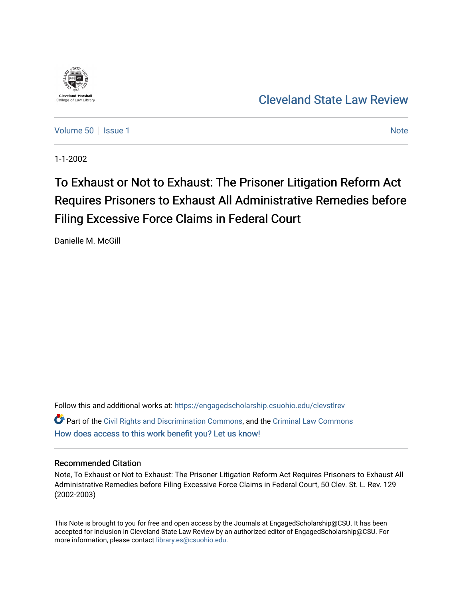

[Cleveland State Law Review](https://engagedscholarship.csuohio.edu/clevstlrev) 

[Volume 50](https://engagedscholarship.csuohio.edu/clevstlrev/vol50) | [Issue 1](https://engagedscholarship.csuohio.edu/clevstlrev/vol50/iss1) [Note](https://engagedscholarship.csuohio.edu/clevstlrev/vol50/iss1/8) 1 Note 1 Note 1 Note 1 Note 1 Note 1 Note 1 Note 1 Note 1 Note 1 Note 1 Note 1 Note 1 Note 1 Note 1 Note 1 Note 1 Note 1 Note 1 Note 1 Note 1 Note 1 Note 1 Note 1 Note 1 Note 1 Note 1 Note 1 Note 1

1-1-2002

# To Exhaust or Not to Exhaust: The Prisoner Litigation Reform Act Requires Prisoners to Exhaust All Administrative Remedies before Filing Excessive Force Claims in Federal Court

Danielle M. McGill

Follow this and additional works at: [https://engagedscholarship.csuohio.edu/clevstlrev](https://engagedscholarship.csuohio.edu/clevstlrev?utm_source=engagedscholarship.csuohio.edu%2Fclevstlrev%2Fvol50%2Fiss1%2F8&utm_medium=PDF&utm_campaign=PDFCoverPages)  $\bullet$  Part of the [Civil Rights and Discrimination Commons,](http://network.bepress.com/hgg/discipline/585?utm_source=engagedscholarship.csuohio.edu%2Fclevstlrev%2Fvol50%2Fiss1%2F8&utm_medium=PDF&utm_campaign=PDFCoverPages) and the [Criminal Law Commons](http://network.bepress.com/hgg/discipline/912?utm_source=engagedscholarship.csuohio.edu%2Fclevstlrev%2Fvol50%2Fiss1%2F8&utm_medium=PDF&utm_campaign=PDFCoverPages) [How does access to this work benefit you? Let us know!](http://library.csuohio.edu/engaged/)

## Recommended Citation

Note, To Exhaust or Not to Exhaust: The Prisoner Litigation Reform Act Requires Prisoners to Exhaust All Administrative Remedies before Filing Excessive Force Claims in Federal Court, 50 Clev. St. L. Rev. 129 (2002-2003)

This Note is brought to you for free and open access by the Journals at EngagedScholarship@CSU. It has been accepted for inclusion in Cleveland State Law Review by an authorized editor of EngagedScholarship@CSU. For more information, please contact [library.es@csuohio.edu](mailto:library.es@csuohio.edu).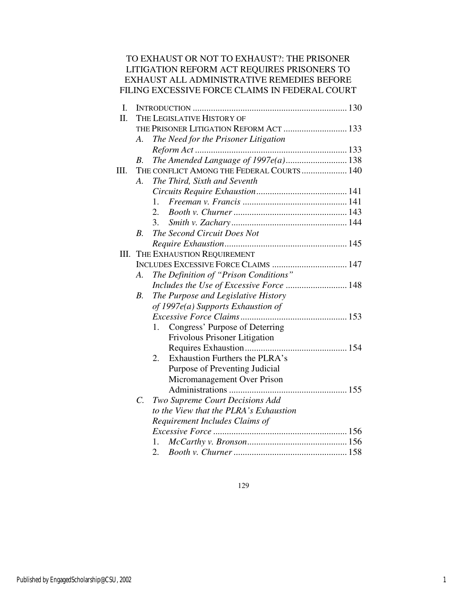# TO EXHAUST OR NOT TO EXHAUST?: THE PRISONER LITIGATION REFORM ACT REQUIRES PRISONERS TO EXHAUST ALL ADMINISTRATIVE REMEDIES BEFORE FILING EXCESSIVE FORCE CLAIMS IN FEDERAL COURT

| I.   |                                      |                                           |  |
|------|--------------------------------------|-------------------------------------------|--|
| Π.   | THE LEGISLATIVE HISTORY OF           |                                           |  |
|      |                                      | THE PRISONER LITIGATION REFORM ACT  133   |  |
|      | A.                                   | The Need for the Prisoner Litigation      |  |
|      |                                      |                                           |  |
|      | $B$ .                                | The Amended Language of 1997e(a) 138      |  |
| III. |                                      | THE CONFLICT AMONG THE FEDERAL COURTS 140 |  |
|      | $\bm{A}$                             | The Third, Sixth and Seventh              |  |
|      |                                      |                                           |  |
|      |                                      | $1_{-}$                                   |  |
|      |                                      | $\overline{2}$ .                          |  |
|      |                                      | 3.                                        |  |
|      | $\boldsymbol{R}$                     | The Second Circuit Does Not               |  |
|      |                                      |                                           |  |
| Ш.   |                                      | THE EXHAUSTION REQUIREMENT                |  |
|      | INCLUDES EXCESSIVE FORCE CLAIMS  147 |                                           |  |
|      | A.                                   | The Definition of "Prison Conditions"     |  |
|      |                                      | Includes the Use of Excessive Force  148  |  |
|      | $B$ .                                | The Purpose and Legislative History       |  |
|      |                                      | of 1997 $e(a)$ Supports Exhaustion of     |  |
|      |                                      |                                           |  |
|      |                                      | Congress' Purpose of Deterring<br>1.      |  |
|      |                                      | <b>Frivolous Prisoner Litigation</b>      |  |
|      |                                      |                                           |  |
|      |                                      | 2.<br>Exhaustion Furthers the PLRA's      |  |
|      |                                      | Purpose of Preventing Judicial            |  |
|      |                                      | Micromanagement Over Prison               |  |
|      |                                      |                                           |  |
|      | $C_{\cdot}$                          | Two Supreme Court Decisions Add           |  |
|      |                                      | to the View that the PLRA's Exhaustion    |  |
|      | Requirement Includes Claims of       |                                           |  |
|      |                                      |                                           |  |
|      |                                      | 1.                                        |  |
|      |                                      | 2.                                        |  |
|      |                                      |                                           |  |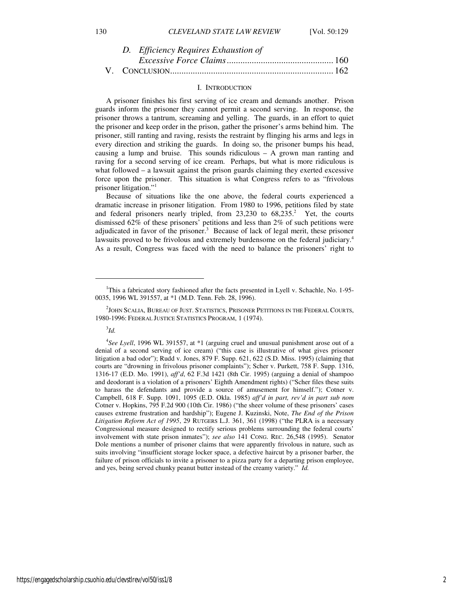## *D. Efficiency Requires Exhaustion of Excessive Force Claims*............................................... 160 V. CONCLUSION........................................................................ 162

#### I. INTRODUCTION

A prisoner finishes his first serving of ice cream and demands another. Prison guards inform the prisoner they cannot permit a second serving. In response, the prisoner throws a tantrum, screaming and yelling. The guards, in an effort to quiet the prisoner and keep order in the prison, gather the prisoner's arms behind him. The prisoner, still ranting and raving, resists the restraint by flinging his arms and legs in every direction and striking the guards. In doing so, the prisoner bumps his head, causing a lump and bruise. This sounds ridiculous – A grown man ranting and raving for a second serving of ice cream. Perhaps, but what is more ridiculous is what followed – a lawsuit against the prison guards claiming they exerted excessive force upon the prisoner. This situation is what Congress refers to as "frivolous prisoner litigation."<sup>1</sup>

Because of situations like the one above, the federal courts experienced a dramatic increase in prisoner litigation. From 1980 to 1996, petitions filed by state and federal prisoners nearly tripled, from  $23,230$  to  $68,235$ .<sup>2</sup> Yet, the courts dismissed 62% of these prisoners' petitions and less than 2% of such petitions were adjudicated in favor of the prisoner.<sup>3</sup> Because of lack of legal merit, these prisoner lawsuits proved to be frivolous and extremely burdensome on the federal judiciary.<sup>4</sup> As a result, Congress was faced with the need to balance the prisoners' right to

3 *Id.*

j

<sup>&</sup>lt;sup>1</sup>This a fabricated story fashioned after the facts presented in Lyell v. Schachle, No. 1-95-0035, 1996 WL 391557, at \*1 (M.D. Tenn. Feb. 28, 1996).

 $^2$ John Scalia, Bureau of Just. Statistics, Prisoner Petitions in the Federal Courts, 1980-1996: FEDERAL JUSTICE STATISTICS PROGRAM, 1 (1974).

<sup>4</sup> *See Lyell*, 1996 WL 391557, at \*1 (arguing cruel and unusual punishment arose out of a denial of a second serving of ice cream) ("this case is illustrative of what gives prisoner litigation a bad odor"); Rudd v. Jones, 879 F. Supp. 621, 622 (S.D. Miss. 1995) (claiming that courts are "drowning in frivolous prisoner complaints"); Scher v. Purkett, 758 F. Supp. 1316, 1316-17 (E.D. Mo. 1991), *aff'd*, 62 F.3d 1421 (8th Cir. 1995) (arguing a denial of shampoo and deodorant is a violation of a prisoners' Eighth Amendment rights) ("Scher files these suits to harass the defendants and provide a source of amusement for himself."); Cotner v. Campbell, 618 F. Supp. 1091, 1095 (E.D. Okla. 1985) *aff'd in part, rev'd in part sub nom* Cotner v. Hopkins, 795 F.2d 900 (10th Cir. 1986) ("the sheer volume of these prisoners' cases causes extreme frustration and hardship"); Eugene J. Kuzinski, Note, *The End of the Prison Litigation Reform Act of 1995*, 29 RUTGERS L.J. 361, 361 (1998) ("the PLRA is a necessary Congressional measure designed to rectify serious problems surrounding the federal courts' involvement with state prison inmates"); *see also* 141 CONG. REC. 26,548 (1995). Senator Dole mentions a number of prisoner claims that were apparently frivolous in nature, such as suits involving "insufficient storage locker space, a defective haircut by a prisoner barber, the failure of prison officials to invite a prisoner to a pizza party for a departing prison employee, and yes, being served chunky peanut butter instead of the creamy variety." *Id.*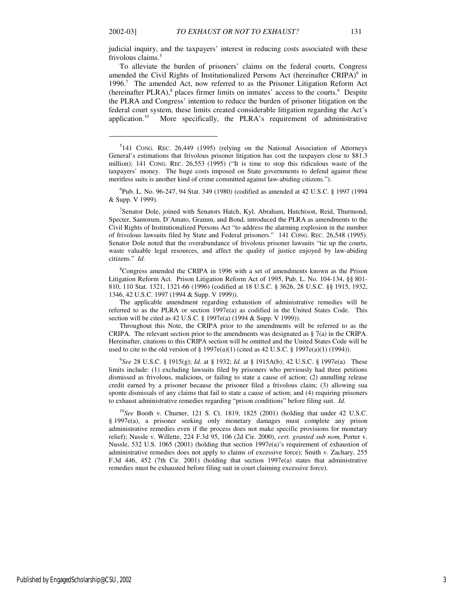1

judicial inquiry, and the taxpayers' interest in reducing costs associated with these frivolous claims.<sup>5</sup>

To alleviate the burden of prisoners' claims on the federal courts, Congress amended the Civil Rights of Institutionalized Persons Act (hereinafter CRIPA)<sup>6</sup> in 1996.<sup>7</sup> The amended Act, now referred to as the Prisoner Litigation Reform Act (hereinafter PLRA), $<sup>8</sup>$  places firmer limits on inmates' access to the courts. $<sup>9</sup>$  Despite</sup></sup> the PLRA and Congress' intention to reduce the burden of prisoner litigation on the federal court system, these limits created considerable litigation regarding the Act's application.<sup>10</sup> More specifically, the PLRA's requirement of administrative

6 Pub. L. No. 96-247, 94 Stat. 349 (1980) (codified as amended at 42 U.S.C. § 1997 (1994 & Supp. V 1999).

<sup>7</sup>Senator Dole, joined with Senators Hatch, Kyl, Abraham, Hutchison, Reid, Thurmond, Specter, Santorum, D'Amato, Gramm, and Bond, introduced the PLRA as amendments to the Civil Rights of Institutionalized Persons Act "to address the alarming explosion in the number of frivolous lawsuits filed by State and Federal prisoners." 141 CONG. REC. 26,548 (1995). Senator Dole noted that the overabundance of frivolous prisoner lawsuits "tie up the courts, waste valuable legal resources, and affect the quality of justice enjoyed by law-abiding citizens." *Id.* 

<sup>8</sup>Congress amended the CRIPA in 1996 with a set of amendments known as the Prison Litigation Reform Act. Prison Litigation Reform Act of 1995, Pub. L. No. 104-134, §§ 801- 810, 110 Stat. 1321, 1321-66 (1996) (codified at 18 U.S.C. § 3626, 28 U.S.C. §§ 1915, 1932, 1346, 42 U.S.C. 1997 (1994 & Supp. V 1999)).

The applicable amendment regarding exhaustion of administrative remedies will be referred to as the PLRA or section 1997e(a) as codified in the United States Code. This section will be cited as 42 U.S.C. § 1997e(a) (1994 & Supp. V 1999)).

Throughout this Note, the CRIPA prior to the amendments will be referred to as the CRIPA. The relevant section prior to the amendments was designated as  $\S$  7(a) in the CRIPA. Hereinafter, citations to this CRIPA section will be omitted and the United States Code will be used to cite to the old version of § 1997e(a)(1) (cited as 42 U.S.C. § 1997e(a)(1) (1994)).

9 *See* 28 U.S.C. § 1915(g); *Id.* at § 1932; *Id.* at § 1915A(b); 42 U.S.C. § 1997e(a). These limits include: (1) excluding lawsuits filed by prisoners who previously had three petitions dismissed as frivolous, malicious, or failing to state a cause of action; (2) annulling release credit earned by a prisoner because the prisoner filed a frivolous claim; (3) allowing sua sponte dismissals of any claims that fail to state a cause of action; and (4) requiring prisoners to exhaust administrative remedies regarding "prison conditions" before filing suit. *Id.*

<sup>10</sup>*See* Booth v. Churner, 121 S. Ct. 1819, 1825 (2001) (holding that under 42 U.S.C. § 1997e(a), a prisoner seeking only monetary damages must complete any prison administrative remedies even if the process does not make specific provisions for monetary relief); Nussle v. Willette, 224 F.3d 95, 106 (2d Cir. 2000), *cert. granted sub nom,* Porter v. Nussle, 532 U.S. 1065 (2001) (holding that section 1997e(a)'s requirement of exhaustion of administrative remedies does not apply to claims of excessive force); Smith v. Zachary, 255 F.3d 446, 452 (7th Cir. 2001) (holding that section 1997e(a) states that administrative remedies must be exhausted before filing suit in court claiming excessive force).

<sup>&</sup>lt;sup>5</sup>141 CONG. REC. 26,449 (1995) (relying on the National Association of Attorneys General's estimations that frivolous prisoner litigation has cost the taxpayers close to \$81.3 million); 141 CONG. REC. 26,553 (1995) ("It is time to stop this ridiculous waste of the taxpayers' money. The huge costs imposed on State governments to defend against these meritless suits is another kind of crime committed against law-abiding citizens.").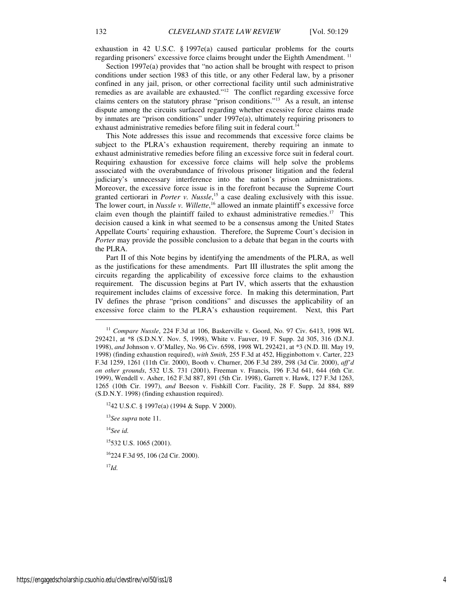exhaustion in 42 U.S.C. § 1997e(a) caused particular problems for the courts regarding prisoners' excessive force claims brought under the Eighth Amendment. <sup>11</sup>

Section 1997e(a) provides that "no action shall be brought with respect to prison conditions under section 1983 of this title, or any other Federal law, by a prisoner confined in any jail, prison, or other correctional facility until such administrative remedies as are available are exhausted."<sup>12</sup> The conflict regarding excessive force claims centers on the statutory phrase "prison conditions."<sup>13</sup> As a result, an intense dispute among the circuits surfaced regarding whether excessive force claims made by inmates are "prison conditions" under 1997e(a), ultimately requiring prisoners to exhaust administrative remedies before filing suit in federal court.<sup>14</sup>

This Note addresses this issue and recommends that excessive force claims be subject to the PLRA's exhaustion requirement, thereby requiring an inmate to exhaust administrative remedies before filing an excessive force suit in federal court. Requiring exhaustion for excessive force claims will help solve the problems associated with the overabundance of frivolous prisoner litigation and the federal judiciary's unnecessary interference into the nation's prison administrations. Moreover, the excessive force issue is in the forefront because the Supreme Court granted certiorari in *Porter v. Nussle*, <sup>15</sup> a case dealing exclusively with this issue. The lower court, in *Nussle v. Willette*, <sup>16</sup> allowed an inmate plaintiff's excessive force claim even though the plaintiff failed to exhaust administrative remedies.<sup>17</sup> This decision caused a kink in what seemed to be a consensus among the United States Appellate Courts' requiring exhaustion. Therefore, the Supreme Court's decision in *Porter* may provide the possible conclusion to a debate that began in the courts with the PLRA.

Part II of this Note begins by identifying the amendments of the PLRA, as well as the justifications for these amendments. Part III illustrates the split among the circuits regarding the applicability of excessive force claims to the exhaustion requirement. The discussion begins at Part IV, which asserts that the exhaustion requirement includes claims of excessive force. In making this determination, Part IV defines the phrase "prison conditions" and discusses the applicability of an excessive force claim to the PLRA's exhaustion requirement. Next, this Part

<sup>14</sup>*See id.* 

1

<sup>15</sup>532 U.S. 1065 (2001).

<sup>16</sup>224 F.3d 95, 106 (2d Cir. 2000).

<sup>17</sup>*Id.*

<sup>11</sup> *Compare Nussle*, 224 F.3d at 106, Baskerville v. Goord, No. 97 Civ. 6413, 1998 WL 292421, at \*8 (S.D.N.Y. Nov. 5, 1998), White v. Fauver, 19 F. Supp. 2d 305, 316 (D.N.J. 1998), *and* Johnson v. O'Malley, No. 96 Civ. 6598, 1998 WL 292421, at \*3 (N.D. Ill. May 19, 1998) (finding exhaustion required), *with Smith*, 255 F.3d at 452, Higginbottom v. Carter, 223 F.3d 1259, 1261 (11th Cir. 2000), Booth v. Churner, 206 F.3d 289, 298 (3d Cir. 2000), *aff'd on other grounds*, 532 U.S. 731 (2001), Freeman v. Francis, 196 F.3d 641, 644 (6th Cir. 1999), Wendell v. Asher, 162 F.3d 887, 891 (5th Cir. 1998), Garrett v. Hawk, 127 F.3d 1263, 1265 (10th Cir. 1997), *and* Beeson v. Fishkill Corr. Facility, 28 F. Supp. 2d 884, 889 (S.D.N.Y. 1998) (finding exhaustion required).

<sup>12</sup>42 U.S.C. § 1997e(a) (1994 & Supp. V 2000).

<sup>13</sup>*See supra* note 11.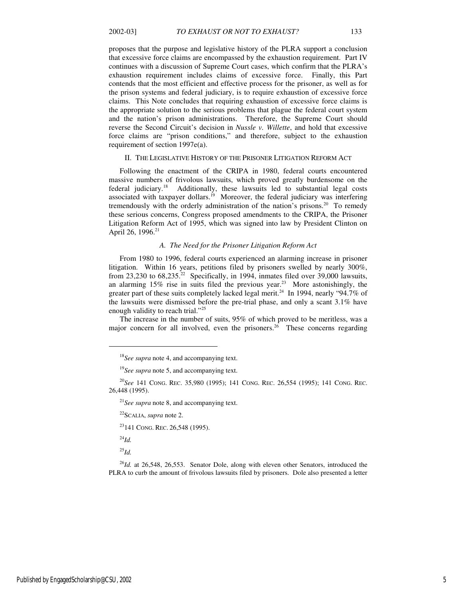proposes that the purpose and legislative history of the PLRA support a conclusion that excessive force claims are encompassed by the exhaustion requirement. Part IV continues with a discussion of Supreme Court cases, which confirm that the PLRA's exhaustion requirement includes claims of excessive force. Finally, this Part contends that the most efficient and effective process for the prisoner, as well as for the prison systems and federal judiciary, is to require exhaustion of excessive force claims. This Note concludes that requiring exhaustion of excessive force claims is the appropriate solution to the serious problems that plague the federal court system and the nation's prison administrations. Therefore, the Supreme Court should reverse the Second Circuit's decision in *Nussle v. Willette*, and hold that excessive force claims are "prison conditions," and therefore, subject to the exhaustion requirement of section 1997e(a).

## II. THE LEGISLATIVE HISTORY OF THE PRISONER LITIGATION REFORM ACT

Following the enactment of the CRIPA in 1980, federal courts encountered massive numbers of frivolous lawsuits, which proved greatly burdensome on the federal judiciary.<sup>18</sup> Additionally, these lawsuits led to substantial legal costs associated with taxpayer dollars.<sup>19</sup> Moreover, the federal judiciary was interfering tremendously with the orderly administration of the nation's prisons.<sup>20</sup> To remedy these serious concerns, Congress proposed amendments to the CRIPA, the Prisoner Litigation Reform Act of 1995, which was signed into law by President Clinton on April 26, 1996.<sup>21</sup>

#### *A. The Need for the Prisoner Litigation Reform Act*

From 1980 to 1996, federal courts experienced an alarming increase in prisoner litigation. Within 16 years, petitions filed by prisoners swelled by nearly 300%, from 23,230 to 68,235.<sup>22</sup> Specifically, in 1994, inmates filed over 39,000 lawsuits, an alarming  $15\%$  rise in suits filed the previous year.<sup>23</sup> More astonishingly, the greater part of these suits completely lacked legal merit.<sup>24</sup> In 1994, nearly "94.7% of the lawsuits were dismissed before the pre-trial phase, and only a scant 3.1% have enough validity to reach trial."<sup>25</sup>

The increase in the number of suits, 95% of which proved to be meritless, was a major concern for all involved, even the prisoners.<sup>26</sup> These concerns regarding

<sup>23</sup>141 CONG. REC. 26,548 (1995).

<sup>24</sup>*Id.*

j

 $^{25}$ *Id.* 

<sup>26</sup>*Id.* at 26,548, 26,553. Senator Dole, along with eleven other Senators, introduced the PLRA to curb the amount of frivolous lawsuits filed by prisoners. Dole also presented a letter

<sup>18</sup>*See supra* note 4, and accompanying text.

<sup>19</sup>*See supra* note 5, and accompanying text.

<sup>20</sup>*See* 141 CONG. REC. 35,980 (1995); 141 CONG. REC. 26,554 (1995); 141 CONG. REC. 26,448 (1995).

<sup>21</sup>*See supra* note 8, and accompanying text.

<sup>22</sup>SCALIA, *supra* note 2.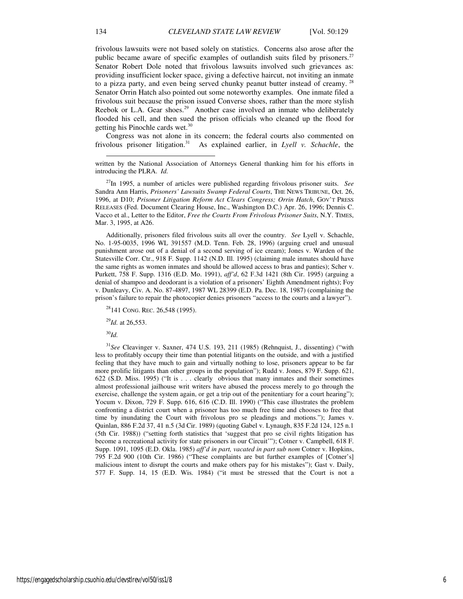frivolous lawsuits were not based solely on statistics. Concerns also arose after the public became aware of specific examples of outlandish suits filed by prisoners.<sup>27</sup> Senator Robert Dole noted that frivolous lawsuits involved such grievances as: providing insufficient locker space, giving a defective haircut, not inviting an inmate to a pizza party, and even being served chunky peanut butter instead of creamy.<sup>28</sup> Senator Orrin Hatch also pointed out some noteworthy examples. One inmate filed a frivolous suit because the prison issued Converse shoes, rather than the more stylish Reebok or L.A. Gear shoes.<sup>29</sup> Another case involved an inmate who deliberately flooded his cell, and then sued the prison officials who cleaned up the flood for getting his Pinochle cards wet.<sup>30</sup>

Congress was not alone in its concern; the federal courts also commented on frivolous prisoner litigation.<sup>31</sup> As explained earlier, in *Lyell v. Schachle*, the

<sup>27</sup>In 1995, a number of articles were published regarding frivolous prisoner suits. *See*  Sandra Ann Harris, *Prisoners' Lawsuits Swamp Federal Courts*, THE NEWS TRIBUNE, Oct. 26, 1996, at D10; *Prisoner Litigation Reform Act Clears Congress; Orrin Hatch*, GOV'T PRESS RELEASES (Fed. Document Clearing House, Inc., Washington D.C.) Apr. 26, 1996; Dennis C. Vacco et al., Letter to the Editor, *Free the Courts From Frivolous Prisoner Suits*, N.Y. TIMES, Mar. 3, 1995, at A26.

Additionally, prisoners filed frivolous suits all over the country. *See* Lyell v. Schachle, No. 1-95-0035, 1996 WL 391557 (M.D. Tenn. Feb. 28, 1996) (arguing cruel and unusual punishment arose out of a denial of a second serving of ice cream); Jones v. Warden of the Statesville Corr. Ctr., 918 F. Supp. 1142 (N.D. Ill. 1995) (claiming male inmates should have the same rights as women inmates and should be allowed access to bras and panties); Scher v. Purkett, 758 F. Supp. 1316 (E.D. Mo. 1991), *aff'd*, 62 F.3d 1421 (8th Cir. 1995) (arguing a denial of shampoo and deodorant is a violation of a prisoners' Eighth Amendment rights); Foy v. Dunleavy, Civ. A. No. 87-4897, 1987 WL 28399 (E.D. Pa. Dec. 18, 1987) (complaining the prison's failure to repair the photocopier denies prisoners "access to the courts and a lawyer").

 $28141$  CONG. REC. 26,548 (1995).

<sup>29</sup>*Id.* at 26,553.

<sup>30</sup>*Id.*

<sup>31</sup>*See* Cleavinger v. Saxner, 474 U.S. 193, 211 (1985) (Rehnquist, J., dissenting) ("with less to profitably occupy their time than potential litigants on the outside, and with a justified feeling that they have much to gain and virtually nothing to lose, prisoners appear to be far more prolific litigants than other groups in the population"); Rudd v. Jones, 879 F. Supp. 621, 622 (S.D. Miss. 1995) ("It is . . . clearly obvious that many inmates and their sometimes almost professional jailhouse writ writers have abused the process merely to go through the exercise, challenge the system again, or get a trip out of the penitentiary for a court hearing"); Yocum v. Dixon, 729 F. Supp. 616, 616 (C.D. Ill. 1990) ("This case illustrates the problem confronting a district court when a prisoner has too much free time and chooses to free that time by inundating the Court with frivolous pro se pleadings and motions."); James v. Quinlan, 886 F.2d 37, 41 n.5 (3d Cir. 1989) (quoting Gabel v. Lynaugh, 835 F.2d 124, 125 n.1 (5th Cir. 1988)) ("setting forth statistics that 'suggest that pro se civil rights litigation has become a recreational activity for state prisoners in our Circuit'"); Cotner v. Campbell, 618 F. Supp. 1091, 1095 (E.D. Okla. 1985) *aff'd in part, vacated in part sub nom* Cotner v. Hopkins, 795 F.2d 900 (10th Cir. 1986) ("These complaints are but further examples of [Cotner's] malicious intent to disrupt the courts and make others pay for his mistakes"); Gast v. Daily, 577 F. Supp. 14, 15 (E.D. Wis. 1984) ("it must be stressed that the Court is not a

-

written by the National Association of Attorneys General thanking him for his efforts in introducing the PLRA. *Id.*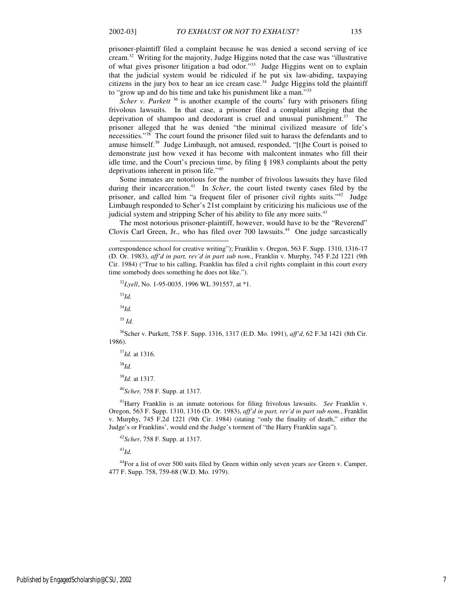prisoner-plaintiff filed a complaint because he was denied a second serving of ice cream.<sup>32</sup> Writing for the majority, Judge Higgins noted that the case was "illustrative of what gives prisoner litigation a bad odor."<sup>33</sup> Judge Higgins went on to explain that the judicial system would be ridiculed if he put six law-abiding, taxpaying citizens in the jury box to hear an ice cream case.<sup>34</sup> Judge Higgins told the plaintiff to "grow up and do his time and take his punishment like a man."<sup>35</sup>

*Scher v. Purkett* <sup>36</sup> is another example of the courts' fury with prisoners filing frivolous lawsuits. In that case, a prisoner filed a complaint alleging that the deprivation of shampoo and deodorant is cruel and unusual punishment.<sup>37</sup> The prisoner alleged that he was denied "the minimal civilized measure of life's necessities."<sup>38</sup> The court found the prisoner filed suit to harass the defendants and to amuse himself.<sup>39</sup> Judge Limbaugh, not amused, responded, "[t]he Court is poised to demonstrate just how vexed it has become with malcontent inmates who fill their idle time, and the Court's precious time, by filing § 1983 complaints about the petty deprivations inherent in prison life."<sup>40</sup>

Some inmates are notorious for the number of frivolous lawsuits they have filed during their incarceration.<sup>41</sup> In *Scher*, the court listed twenty cases filed by the prisoner, and called him "a frequent filer of prisoner civil rights suits."<sup>42</sup> Judge Limbaugh responded to Scher's 21st complaint by criticizing his malicious use of the judicial system and stripping Scher of his ability to file any more suits.<sup>43</sup>

The most notorious prisoner-plaintiff, however, would have to be the "Reverend" Clovis Carl Green, Jr., who has filed over 700 lawsuits.<sup>44</sup> One judge sarcastically

<sup>32</sup>*Lyell*, No. 1-95-0035, 1996 WL 391557, at \*1.

<sup>33</sup>*Id.*

-

<sup>34</sup>*Id.*

<sup>35</sup> *Id.*

<sup>36</sup>Scher v. Purkett, 758 F. Supp. 1316, 1317 (E.D. Mo. 1991), *aff'd*, 62 F.3d 1421 (8th Cir. 1986).

<sup>38</sup>*Id.*

<sup>39</sup>*Id.* at 1317.

<sup>41</sup>Harry Franklin is an inmate notorious for filing frivolous lawsuits. *See* Franklin v. Oregon, 563 F. Supp. 1310, 1316 (D. Or. 1983), *aff'd in part, rev'd in part sub nom.*, Franklin v. Murphy, 745 F.2d 1221 (9th Cir. 1984) (stating "only the finality of death," either the Judge's or Franklins', would end the Judge's torment of "the Harry Franklin saga").

<sup>43</sup>*Id.* 

<sup>44</sup>For a list of over 500 suits filed by Green within only seven years *see* Green v. Camper, 477 F. Supp. 758, 759-68 (W.D. Mo. 1979).

correspondence school for creative writing"); Franklin v. Oregon, 563 F. Supp. 1310, 1316-17 (D. Or. 1983), *aff'd in part, rev'd in part sub nom.*, Franklin v. Murphy, 745 F.2d 1221 (9th Cir. 1984) ("True to his calling, Franklin has filed a civil rights complaint in this court every time somebody does something he does not like.").

<sup>37</sup>*Id.* at 1316.

<sup>40</sup>*Scher,* 758 F. Supp. at 1317*.* 

<sup>42</sup>*Scher*, 758 F. Supp. at 1317.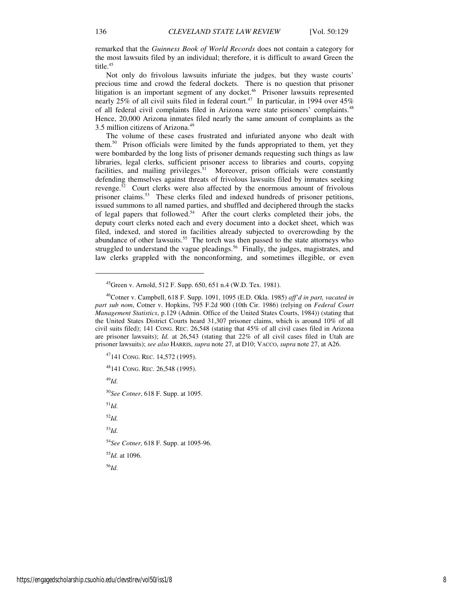remarked that the *Guinness Book of World Records* does not contain a category for the most lawsuits filed by an individual; therefore, it is difficult to award Green the title. $45$ 

Not only do frivolous lawsuits infuriate the judges, but they waste courts' precious time and crowd the federal dockets. There is no question that prisoner litigation is an important segment of any docket.<sup>46</sup> Prisoner lawsuits represented nearly 25% of all civil suits filed in federal court.<sup>47</sup> In particular, in 1994 over  $45\%$ of all federal civil complaints filed in Arizona were state prisoners' complaints.<sup>48</sup> Hence, 20,000 Arizona inmates filed nearly the same amount of complaints as the 3.5 million citizens of Arizona.<sup>49</sup>

The volume of these cases frustrated and infuriated anyone who dealt with them.<sup>50</sup> Prison officials were limited by the funds appropriated to them, yet they were bombarded by the long lists of prisoner demands requesting such things as law libraries, legal clerks, sufficient prisoner access to libraries and courts, copying facilities, and mailing privileges.<sup>51</sup> Moreover, prison officials were constantly defending themselves against threats of frivolous lawsuits filed by inmates seeking revenge.<sup>52</sup> Court clerks were also affected by the enormous amount of frivolous prisoner claims.<sup>53</sup> These clerks filed and indexed hundreds of prisoner petitions, issued summons to all named parties, and shuffled and deciphered through the stacks of legal papers that followed.<sup>54</sup> After the court clerks completed their jobs, the deputy court clerks noted each and every document into a docket sheet, which was filed, indexed, and stored in facilities already subjected to overcrowding by the abundance of other lawsuits.<sup>55</sup> The torch was then passed to the state attorneys who struggled to understand the vague pleadings.<sup>56</sup> Finally, the judges, magistrates, and law clerks grappled with the nonconforming, and sometimes illegible, or even

<sup>47</sup>141 CONG. REC. 14,572 (1995).

<sup>48</sup>141 CONG. REC. 26,548 (1995).

<sup>49</sup>*Id.* 

 $\overline{a}$ 

<sup>50</sup>*See Cotner*, 618 F. Supp. at 1095.

<sup>51</sup>*Id.*

<sup>52</sup>*Id.*

<sup>53</sup>*Id.*

<sup>54</sup>*See Cotner,* 618 F. Supp. at 1095-96.

<sup>55</sup>*Id.* at 1096.

<sup>56</sup>*Id.*

<sup>45</sup>Green v. Arnold, 512 F. Supp. 650, 651 n.4 (W.D. Tex. 1981).

<sup>46</sup>Cotner v. Campbell, 618 F. Supp. 1091, 1095 (E.D. Okla. 1985) *aff'd in part, vacated in part sub nom*, Cotner v. Hopkins, 795 F.2d 900 (10th Cir. 1986) (relying on *Federal Court Management Statistics*, p.129 (Admin. Office of the United States Courts, 1984)) (stating that the United States District Courts heard 31,307 prisoner claims, which is around 10% of all civil suits filed); 141 CONG. REC. 26,548 (stating that 45% of all civil cases filed in Arizona are prisoner lawsuits); *Id.* at 26,543 (stating that 22% of all civil cases filed in Utah are prisoner lawsuits); *see also* HARRIS, *supra* note 27, at D10; VACCO, *supra* note 27, at A26.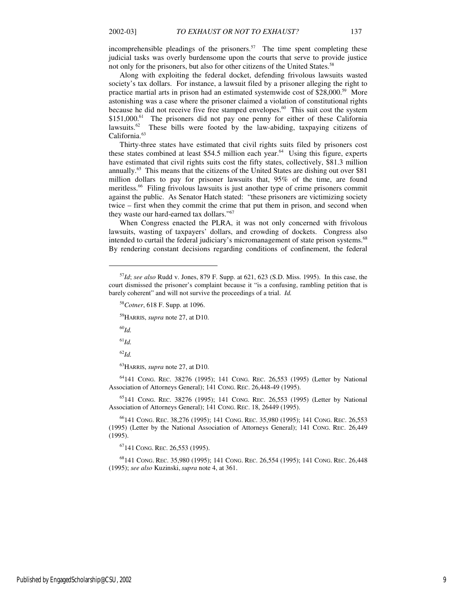incomprehensible pleadings of the prisoners.<sup>57</sup> The time spent completing these judicial tasks was overly burdensome upon the courts that serve to provide justice not only for the prisoners, but also for other citizens of the United States.<sup>58</sup>

Along with exploiting the federal docket, defending frivolous lawsuits wasted society's tax dollars. For instance, a lawsuit filed by a prisoner alleging the right to practice martial arts in prison had an estimated systemwide cost of \$28,000.<sup>59</sup> More astonishing was a case where the prisoner claimed a violation of constitutional rights because he did not receive five free stamped envelopes.<sup>60</sup> This suit cost the system \$151,000.<sup>61</sup> The prisoners did not pay one penny for either of these California lawsuits.<sup>62</sup> These bills were footed by the law-abiding, taxpaying citizens of California.<sup>63</sup>

Thirty-three states have estimated that civil rights suits filed by prisoners cost these states combined at least \$54.5 million each year.<sup>64</sup> Using this figure, experts have estimated that civil rights suits cost the fifty states, collectively, \$81.3 million annually.<sup>65</sup> This means that the citizens of the United States are dishing out over \$81 million dollars to pay for prisoner lawsuits that, 95% of the time, are found meritless.<sup>66</sup> Filing frivolous lawsuits is just another type of crime prisoners commit against the public. As Senator Hatch stated: "these prisoners are victimizing society twice – first when they commit the crime that put them in prison, and second when they waste our hard-earned tax dollars."<sup>67</sup>

When Congress enacted the PLRA, it was not only concerned with frivolous lawsuits, wasting of taxpayers' dollars, and crowding of dockets. Congress also intended to curtail the federal judiciary's micromanagement of state prison systems.<sup>68</sup> By rendering constant decisions regarding conditions of confinement, the federal

<sup>59</sup>HARRIS, *supra* note 27, at D10.

<sup>60</sup>*Id.*

1

 $^{61}\!Id.$ 

<sup>62</sup>*Id.*

<sup>63</sup>HARRIS, *supra* note 27, at D10.

<sup>64</sup>141 CONG. REC. 38276 (1995); 141 CONG. REC. 26,553 (1995) (Letter by National Association of Attorneys General); 141 CONG. REC. 26,448-49 (1995).

<sup>65</sup>141 CONG. REC. 38276 (1995); 141 CONG. REC. 26,553 (1995) (Letter by National Association of Attorneys General); 141 CONG. REC. 18, 26449 (1995).

<sup>66</sup>141 CONG. REC. 38,276 (1995); 141 CONG. REC. 35,980 (1995); 141 CONG. REC. 26,553 (1995) (Letter by the National Association of Attorneys General); 141 CONG. REC. 26,449 (1995).

 $67141$  CONG. REC. 26,553 (1995).

<sup>68</sup>141 CONG. REC. 35,980 (1995); 141 CONG. REC. 26,554 (1995); 141 CONG. REC. 26,448 (1995); *see also* Kuzinski, *supra* note 4, at 361.

<sup>57</sup>*Id*; *see also* Rudd v. Jones, 879 F. Supp. at 621, 623 (S.D. Miss. 1995). In this case, the court dismissed the prisoner's complaint because it "is a confusing, rambling petition that is barely coherent" and will not survive the proceedings of a trial. *Id.*

<sup>58</sup>*Cotner*, 618 F. Supp. at 1096.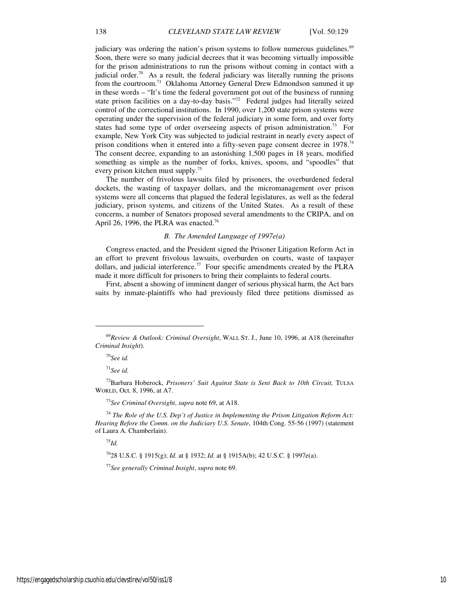judiciary was ordering the nation's prison systems to follow numerous guidelines.<sup>69</sup> Soon, there were so many judicial decrees that it was becoming virtually impossible for the prison administrations to run the prisons without coming in contact with a judicial order.<sup>70</sup> As a result, the federal judiciary was literally running the prisons from the courtroom.<sup>71</sup> Oklahoma Attorney General Drew Edmondson summed it up in these words – "It's time the federal government got out of the business of running state prison facilities on a day-to-day basis."<sup>72</sup> Federal judges had literally seized control of the correctional institutions. In 1990, over 1,200 state prison systems were operating under the supervision of the federal judiciary in some form, and over forty states had some type of order overseeing aspects of prison administration.<sup>73</sup> For example, New York City was subjected to judicial restraint in nearly every aspect of prison conditions when it entered into a fifty-seven page consent decree in 1978.<sup>74</sup> The consent decree, expanding to an astonishing 1,500 pages in 18 years, modified something as simple as the number of forks, knives, spoons, and "spoodles" that every prison kitchen must supply.<sup>75</sup>

The number of frivolous lawsuits filed by prisoners, the overburdened federal dockets, the wasting of taxpayer dollars, and the micromanagement over prison systems were all concerns that plagued the federal legislatures, as well as the federal judiciary, prison systems, and citizens of the United States. As a result of these concerns, a number of Senators proposed several amendments to the CRIPA, and on April 26, 1996, the PLRA was enacted.<sup>76</sup>

## *B. The Amended Language of 1997e(a)*

Congress enacted, and the President signed the Prisoner Litigation Reform Act in an effort to prevent frivolous lawsuits, overburden on courts, waste of taxpayer dollars, and judicial interference.<sup>77</sup> Four specific amendments created by the PLRA made it more difficult for prisoners to bring their complaints to federal courts.

First, absent a showing of imminent danger of serious physical harm, the Act bars suits by inmate-plaintiffs who had previously filed three petitions dismissed as

<sup>70</sup>*See id.*

1

<sup>71</sup>*See id.*

<sup>73</sup>*See Criminal Oversight*, *supra* note 69, at A18.

<sup>74</sup> *The Role of the U.S. Dep't of Justice in Implementing the Prison Litigation Reform Act: Hearing Before the Comm. on the Judiciary U.S. Senate, 104th Cong. 55-56 (1997) (statement* of Laura A. Chamberlain).

<sup>75</sup>*Id.* 

<sup>76</sup>28 U.S.C. § 1915(g); *Id.* at § 1932; *Id.* at § 1915A(b); 42 U.S.C. § 1997e(a).

<sup>77</sup>*See generally Criminal Insight*, *supra* note 69.

<sup>69</sup>*Review & Outlook: Criminal Oversight*, WALL ST. J., June 10, 1996, at A18 (hereinafter *Criminal Insight*).

<sup>72</sup>Barbara Hoberock, *Prisoners' Suit Against State is Sent Back to 10th Circuit,* TULSA WORLD, Oct. 8, 1996, at A7.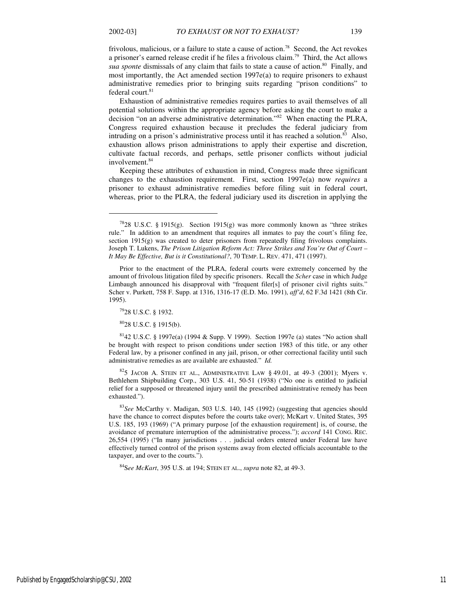1

frivolous, malicious, or a failure to state a cause of action.<sup>78</sup> Second, the Act revokes a prisoner's earned release credit if he files a frivolous claim.<sup>79</sup> Third, the Act allows *sua sponte* dismissals of any claim that fails to state a cause of action.<sup>80</sup> Finally, and most importantly, the Act amended section 1997e(a) to require prisoners to exhaust administrative remedies prior to bringing suits regarding "prison conditions" to federal court.<sup>81</sup>

Exhaustion of administrative remedies requires parties to avail themselves of all potential solutions within the appropriate agency before asking the court to make a decision "on an adverse administrative determination."<sup>82</sup> When enacting the PLRA, Congress required exhaustion because it precludes the federal judiciary from intruding on a prison's administrative process until it has reached a solution.<sup>83</sup> Also, exhaustion allows prison administrations to apply their expertise and discretion, cultivate factual records, and perhaps, settle prisoner conflicts without judicial involvement.<sup>84</sup>

Keeping these attributes of exhaustion in mind, Congress made three significant changes to the exhaustion requirement. First, section 1997e(a) now *requires* a prisoner to exhaust administrative remedies before filing suit in federal court, whereas, prior to the PLRA, the federal judiciary used its discretion in applying the

<sup>80</sup>28 U.S.C. § 1915(b).

 $825$  JACOB A. STEIN ET AL., ADMINISTRATIVE LAW § 49.01, at 49-3 (2001); Myers v. Bethlehem Shipbuilding Corp., 303 U.S. 41, 50-51 (1938) ("No one is entitled to judicial relief for a supposed or threatened injury until the prescribed administrative remedy has been exhausted.").

<sup>83</sup>*See* McCarthy v. Madigan, 503 U.S. 140, 145 (1992) (suggesting that agencies should have the chance to correct disputes before the courts take over); McKart v. United States, 395 U.S. 185, 193 (1969) ("A primary purpose [of the exhaustion requirement] is, of course, the avoidance of premature interruption of the administrative process."); *accord* 141 CONG. REC. 26,554 (1995) ("In many jurisdictions . . . judicial orders entered under Federal law have effectively turned control of the prison systems away from elected officials accountable to the taxpayer, and over to the courts.").

<sup>84</sup>S*ee McKart*, 395 U.S. at 194; STEIN ET AL., *supra* note 82, at 49-3.

<sup>&</sup>lt;sup>78</sup>28 U.S.C. § 1915(g). Section 1915(g) was more commonly known as "three strikes rule." In addition to an amendment that requires all inmates to pay the court's filing fee, section 1915(g) was created to deter prisoners from repeatedly filing frivolous complaints. Joseph T. Lukens, *The Prison Litigation Reform Act: Three Strikes and You're Out of Court – It May Be Effective, But is it Constitutional?*, 70 TEMP. L. REV. 471, 471 (1997).

Prior to the enactment of the PLRA, federal courts were extremely concerned by the amount of frivolous litigation filed by specific prisoners. Recall the *Scher* case in which Judge Limbaugh announced his disapproval with "frequent filer[s] of prisoner civil rights suits." Scher v. Purkett, 758 F. Supp. at 1316, 1316-17 (E.D. Mo. 1991), *aff'd*, 62 F.3d 1421 (8th Cir. 1995).

<sup>79</sup>28 U.S.C. § 1932.

 $8142$  U.S.C. § 1997e(a) (1994 & Supp. V 1999). Section 1997e (a) states "No action shall be brought with respect to prison conditions under section 1983 of this title, or any other Federal law, by a prisoner confined in any jail, prison, or other correctional facility until such administrative remedies as are available are exhausted." *Id.*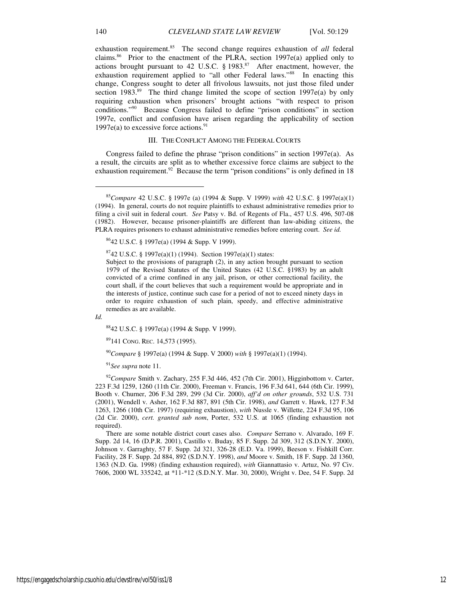exhaustion requirement.<sup>85</sup> The second change requires exhaustion of *all* federal claims.<sup>86</sup> Prior to the enactment of the PLRA, section 1997e(a) applied only to actions brought pursuant to 42 U.S.C.  $\S$  1983.<sup>87</sup> After enactment, however, the exhaustion requirement applied to "all other Federal laws."<sup>88</sup> In enacting this change, Congress sought to deter all frivolous lawsuits, not just those filed under section 1983.<sup>89</sup> The third change limited the scope of section 1997e(a) by only requiring exhaustion when prisoners' brought actions "with respect to prison conditions."<sup>90</sup> Because Congress failed to define "prison conditions" in section 1997e, conflict and confusion have arisen regarding the applicability of section 1997e(a) to excessive force actions. $91$ 

#### III. THE CONFLICT AMONG THE FEDERAL COURTS

Congress failed to define the phrase "prison conditions" in section 1997e(a). As a result, the circuits are split as to whether excessive force claims are subject to the exhaustion requirement.<sup>92</sup> Because the term "prison conditions" is only defined in 18

*Id.* 

 $\overline{a}$ 

<sup>88</sup>42 U.S.C. § 1997e(a) (1994 & Supp. V 1999).

<sup>89</sup>141 CONG. REC. 14,573 (1995).

<sup>90</sup>*Compare* § 1997e(a) (1994 & Supp. V 2000) *with* § 1997e(a)(1) (1994).

<sup>91</sup>*See supra* note 11.

<sup>92</sup>*Compare* Smith v. Zachary, 255 F.3d 446, 452 (7th Cir. 2001), Higginbottom v. Carter, 223 F.3d 1259, 1260 (11th Cir. 2000), Freeman v. Francis, 196 F.3d 641, 644 (6th Cir. 1999), Booth v. Churner, 206 F.3d 289, 299 (3d Cir. 2000), *aff'd on other grounds*, 532 U.S. 731 (2001), Wendell v. Asher, 162 F.3d 887, 891 (5th Cir. 1998), *and* Garrett v. Hawk, 127 F.3d 1263, 1266 (10th Cir. 1997) (requiring exhaustion), *with* Nussle v. Willette, 224 F.3d 95, 106 (2d Cir. 2000), *cert. granted sub nom*, Porter, 532 U.S. at 1065 (finding exhaustion not required).

There are some notable district court cases also. *Compare* Serrano v. Alvarado, 169 F. Supp. 2d 14, 16 (D.P.R. 2001), Castillo v. Buday, 85 F. Supp. 2d 309, 312 (S.D.N.Y. 2000), Johnson v. Garraghty, 57 F. Supp. 2d 321, 326-28 (E.D. Va. 1999), Beeson v. Fishkill Corr. Facility, 28 F. Supp. 2d 884, 892 (S.D.N.Y. 1998), *and* Moore v. Smith, 18 F. Supp. 2d 1360, 1363 (N.D. Ga. 1998) (finding exhaustion required), *with* Giannattasio v. Artuz, No. 97 Civ. 7606, 2000 WL 335242, at \*11-\*12 (S.D.N.Y. Mar. 30, 2000), Wright v. Dee, 54 F. Supp. 2d

<sup>85</sup>*Compare* 42 U.S.C. § 1997e (a) (1994 & Supp. V 1999) *with* 42 U.S.C. § 1997e(a)(1) (1994). In general, courts do not require plaintiffs to exhaust administrative remedies prior to filing a civil suit in federal court. *See* Patsy v. Bd. of Regents of Fla., 457 U.S. 496, 507-08 (1982). However, because prisoner-plaintiffs are different than law-abiding citizens, the PLRA requires prisoners to exhaust administrative remedies before entering court. *See id.*

<sup>86</sup>42 U.S.C. § 1997e(a) (1994 & Supp. V 1999).

 $8742$  U.S.C. § 1997e(a)(1) (1994). Section 1997e(a)(1) states:

Subject to the provisions of paragraph (2), in any action brought pursuant to section 1979 of the Revised Statutes of the United States (42 U.S.C. §1983) by an adult convicted of a crime confined in any jail, prison, or other correctional facility, the court shall, if the court believes that such a requirement would be appropriate and in the interests of justice, continue such case for a period of not to exceed ninety days in order to require exhaustion of such plain, speedy, and effective administrative remedies as are available.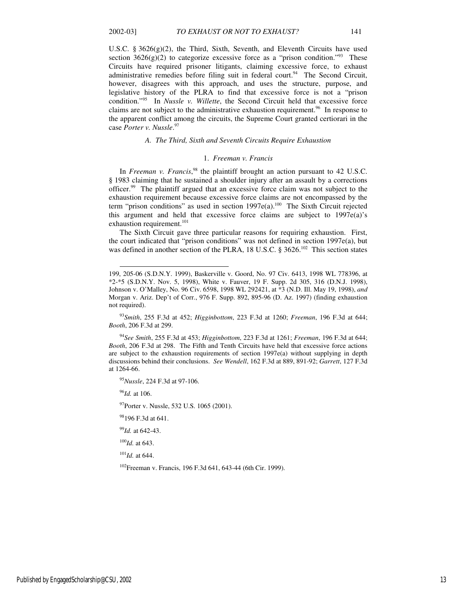U.S.C. § 3626(g)(2), the Third, Sixth, Seventh, and Eleventh Circuits have used section  $3626(g)(2)$  to categorize excessive force as a "prison condition."<sup>93</sup> These Circuits have required prisoner litigants, claiming excessive force, to exhaust administrative remedies before filing suit in federal court.<sup>94</sup> The Second Circuit, however, disagrees with this approach, and uses the structure, purpose, and legislative history of the PLRA to find that excessive force is not a "prison condition."<sup>95</sup> In *Nussle v. Willette*, the Second Circuit held that excessive force claims are not subject to the administrative exhaustion requirement.<sup>96</sup> In response to the apparent conflict among the circuits, the Supreme Court granted certiorari in the case *Porter v. Nussle*. 97

#### *A. The Third, Sixth and Seventh Circuits Require Exhaustion*

## 1. *Freeman v. Francis*

In *Freeman v. Francis*, <sup>98</sup> the plaintiff brought an action pursuant to 42 U.S.C. § 1983 claiming that he sustained a shoulder injury after an assault by a corrections officer.<sup>99</sup> The plaintiff argued that an excessive force claim was not subject to the exhaustion requirement because excessive force claims are not encompassed by the term "prison conditions" as used in section  $1997e(a)$ .<sup>100</sup> The Sixth Circuit rejected this argument and held that excessive force claims are subject to  $1997e(a)$ 's exhaustion requirement.<sup>101</sup>

The Sixth Circuit gave three particular reasons for requiring exhaustion. First, the court indicated that "prison conditions" was not defined in section 1997e(a), but was defined in another section of the PLRA, 18 U.S.C. § 3626.<sup>102</sup> This section states

<sup>95</sup>*Nussle*, 224 F.3d at 97-106.

<sup>96</sup>*Id.* at 106.

-

<sup>97</sup>Porter v. Nussle, 532 U.S. 1065 (2001).

<sup>98</sup>196 F.3d at 641.

<sup>99</sup>*Id.* at 642-43.

<sup>100</sup>*Id.* at 643.

<sup>101</sup>*Id.* at 644.

<sup>102</sup> Freeman v. Francis, 196 F.3d 641, 643-44 (6th Cir. 1999).

Published by EngagedScholarship@CSU, 2002 13

<sup>199, 205-06 (</sup>S.D.N.Y. 1999), Baskerville v. Goord, No. 97 Civ. 6413, 1998 WL 778396, at \*2-\*5 (S.D.N.Y. Nov. 5, 1998), White v. Fauver, 19 F. Supp. 2d 305, 316 (D.N.J. 1998), Johnson v. O'Malley, No. 96 Civ. 6598, 1998 WL 292421, at \*3 (N.D. Ill. May 19, 1998), *and* Morgan v. Ariz. Dep't of Corr., 976 F. Supp. 892, 895-96 (D. Az. 1997) (finding exhaustion not required).

<sup>93</sup>*Smith*, 255 F.3d at 452; *Higginbottom*, 223 F.3d at 1260; *Freeman*, 196 F.3d at 644; *Booth*, 206 F.3d at 299.

<sup>94</sup>*See Smith*, 255 F.3d at 453; *Higginbottom*, 223 F.3d at 1261; *Freeman*, 196 F.3d at 644; *Booth*, 206 F.3d at 298. The Fifth and Tenth Circuits have held that excessive force actions are subject to the exhaustion requirements of section  $1997e(a)$  without supplying in depth discussions behind their conclusions. *See Wendell*, 162 F.3d at 889, 891-92; *Garrett*, 127 F.3d at 1264-66.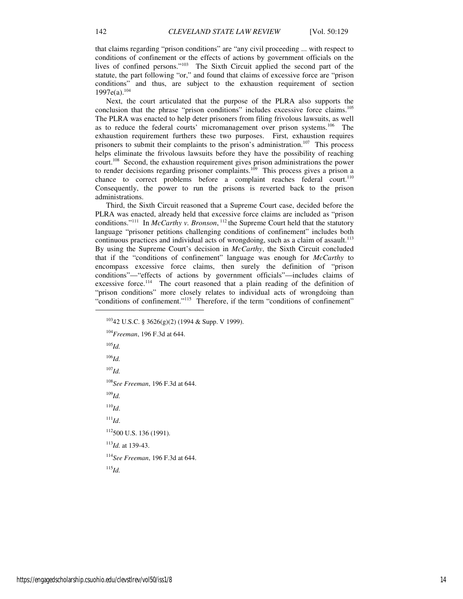that claims regarding "prison conditions" are "any civil proceeding ... with respect to conditions of confinement or the effects of actions by government officials on the lives of confined persons."<sup>103</sup> The Sixth Circuit applied the second part of the statute, the part following "or," and found that claims of excessive force are "prison conditions" and thus, are subject to the exhaustion requirement of section 1997e(a). $104$ 

Next, the court articulated that the purpose of the PLRA also supports the conclusion that the phrase "prison conditions" includes excessive force claims.<sup>105</sup> The PLRA was enacted to help deter prisoners from filing frivolous lawsuits, as well as to reduce the federal courts' micromanagement over prison systems.<sup>106</sup> The exhaustion requirement furthers these two purposes. First, exhaustion requires prisoners to submit their complaints to the prison's administration.<sup>107</sup> This process helps eliminate the frivolous lawsuits before they have the possibility of reaching court.<sup>108</sup> Second, the exhaustion requirement gives prison administrations the power to render decisions regarding prisoner complaints.<sup>109</sup> This process gives a prison a chance to correct problems before a complaint reaches federal court.<sup>110</sup> Consequently, the power to run the prisons is reverted back to the prison administrations.

Third, the Sixth Circuit reasoned that a Supreme Court case, decided before the PLRA was enacted, already held that excessive force claims are included as "prison conditions."<sup>111</sup> In *McCarthy v. Bronson*, <sup>112</sup> the Supreme Court held that the statutory language "prisoner petitions challenging conditions of confinement" includes both continuous practices and individual acts of wrongdoing, such as a claim of assault. $^{113}$ By using the Supreme Court's decision in *McCarthy*, the Sixth Circuit concluded that if the "conditions of confinement" language was enough for *McCarthy* to encompass excessive force claims, then surely the definition of "prison conditions"—"effects of actions by government officials"—includes claims of excessive force.<sup>114</sup> The court reasoned that a plain reading of the definition of "prison conditions" more closely relates to individual acts of wrongdoing than "conditions of confinement."<sup>115</sup> Therefore, if the term "conditions of confinement"

 $10342$  U.S.C. § 3626(g)(2) (1994 & Supp. V 1999). <sup>104</sup>*Freeman*, 196 F.3d at 644. <sup>105</sup>*Id.* <sup>106</sup>*Id.* <sup>107</sup>*Id.* <sup>108</sup>*See Freeman*, 196 F.3d at 644. <sup>109</sup>*Id.* <sup>110</sup>*Id*.  $111$ *Id*. <sup>112</sup>500 U.S. 136 (1991). <sup>113</sup>*Id.* at 139-43. <sup>114</sup>*See Freeman*, 196 F.3d at 644. <sup>115</sup>*Id.*

https://engagedscholarship.csuohio.edu/clevstlrev/vol50/iss1/8 14

1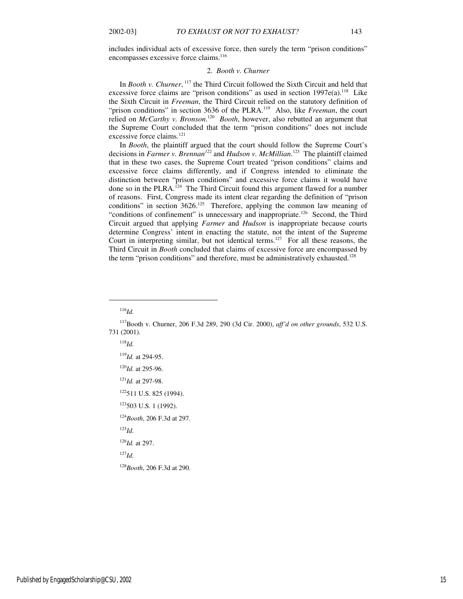includes individual acts of excessive force, then surely the term "prison conditions" encompasses excessive force claims.<sup>116</sup>

## 2. *Booth v. Churner*

In *Booth v. Churner*, <sup>117</sup> the Third Circuit followed the Sixth Circuit and held that excessive force claims are "prison conditions" as used in section  $1997e(a)$ .<sup>118</sup> Like the Sixth Circuit in *Freeman*, the Third Circuit relied on the statutory definition of "prison conditions" in section 3636 of the PLRA.<sup>119</sup> Also, like *Freeman*, the court relied on *McCarthy v. Bronson*.<sup>120</sup> *Booth*, however, also rebutted an argument that the Supreme Court concluded that the term "prison conditions" does not include excessive force claims.<sup>121</sup>

In *Booth*, the plaintiff argued that the court should follow the Supreme Court's decisions in *Farmer v. Brennan<sup>122</sup>* and *Hudson v. McMillian*. <sup>123</sup> The plaintiff claimed that in these two cases, the Supreme Court treated "prison conditions" claims and excessive force claims differently, and if Congress intended to eliminate the distinction between "prison conditions" and excessive force claims it would have done so in the PLRA.<sup> $124$ </sup> The Third Circuit found this argument flawed for a number of reasons. First, Congress made its intent clear regarding the definition of "prison conditions" in section  $3626$ <sup>125</sup> Therefore, applying the common law meaning of "conditions of confinement" is unnecessary and inappropriate.<sup>126</sup> Second, the Third Circuit argued that applying *Farmer* and *Hudson* is inappropriate because courts determine Congress' intent in enacting the statute, not the intent of the Supreme Court in interpreting similar, but not identical terms.<sup>127</sup> For all these reasons, the Third Circuit in *Booth* concluded that claims of excessive force are encompassed by the term "prison conditions" and therefore, must be administratively exhausted.<sup>128</sup>

1

<sup>123</sup>503 U.S. 1 (1992).

<sup>124</sup>*Booth*, 206 F.3d at 297.

 $^{125}$ *Id.* 

<sup>126</sup>*Id.* at 297.

<sup>127</sup>*Id.*

<sup>128</sup>*Booth*, 206 F.3d at 290.

<sup>116</sup>*Id.*

<sup>117</sup>Booth v. Churner, 206 F.3d 289, 290 (3d Cir. 2000), *aff'd on other grounds*, 532 U.S. 731 (2001).

<sup>118</sup>*Id.*

<sup>119</sup>*Id.* at 294-95.

<sup>120</sup>*Id.* at 295-96.

<sup>121</sup>*Id.* at 297-98.

<sup>122</sup>511 U.S. 825 (1994).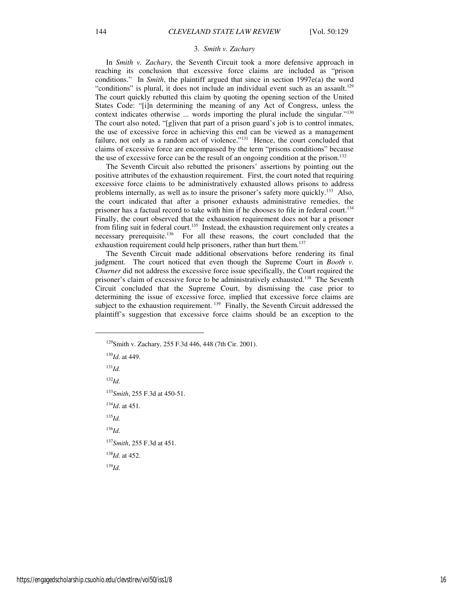#### 3. *Smith v. Zachary*

In *Smith v. Zachary*, the Seventh Circuit took a more defensive approach in reaching its conclusion that excessive force claims are included as "prison conditions." In *Smith*, the plaintiff argued that since in section 1997e(a) the word "conditions" is plural, it does not include an individual event such as an assault.<sup>129</sup> The court quickly rebutted this claim by quoting the opening section of the United States Code: "[i]n determining the meaning of any Act of Congress, unless the context indicates otherwise ... words importing the plural include the singular."<sup>130</sup> The court also noted, "[g]iven that part of a prison guard's job is to control inmates, the use of excessive force in achieving this end can be viewed as a management failure, not only as a random act of violence."<sup>131</sup> Hence, the court concluded that claims of excessive force are encompassed by the term "prisons conditions" because the use of excessive force can be the result of an ongoing condition at the prison.<sup>132</sup>

The Seventh Circuit also rebutted the prisoners' assertions by pointing out the positive attributes of the exhaustion requirement. First, the court noted that requiring excessive force claims to be administratively exhausted allows prisons to address problems internally, as well as to insure the prisoner's safety more quickly.<sup>133</sup> Also, the court indicated that after a prisoner exhausts administrative remedies, the prisoner has a factual record to take with him if he chooses to file in federal court.<sup>134</sup> Finally, the court observed that the exhaustion requirement does not bar a prisoner from filing suit in federal court.<sup>135</sup> Instead, the exhaustion requirement only creates a necessary prerequisite.<sup>136</sup> For all these reasons, the court concluded that the exhaustion requirement could help prisoners, rather than hurt them.<sup>137</sup>

The Seventh Circuit made additional observations before rendering its final judgment. The court noticed that even though the Supreme Court in *Booth v. Churner* did not address the excessive force issue specifically, the Court required the prisoner's claim of excessive force to be administratively exhausted.<sup>138</sup> The Seventh Circuit concluded that the Supreme Court, by dismissing the case prior to determining the issue of excessive force, implied that excessive force claims are subject to the exhaustion requirement.<sup>139</sup> Finally, the Seventh Circuit addressed the plaintiff's suggestion that excessive force claims should be an exception to the

 $^{130}$ *Id.* at 449. <sup>131</sup>*Id.*   $^{132}$ *Id.* <sup>133</sup>*Smith*, 255 F.3d at 450-51. <sup>134</sup>*Id.* at 451. <sup>135</sup>*Id.*  $^{136}$ *Id.* <sup>137</sup>*Smith*, 255 F.3d at 451. <sup>138</sup>*Id.* at 452. <sup>139</sup>*Id.*

1

<sup>129</sup>Smith v. Zachary, 255 F.3d 446, 448 (7th Cir. 2001).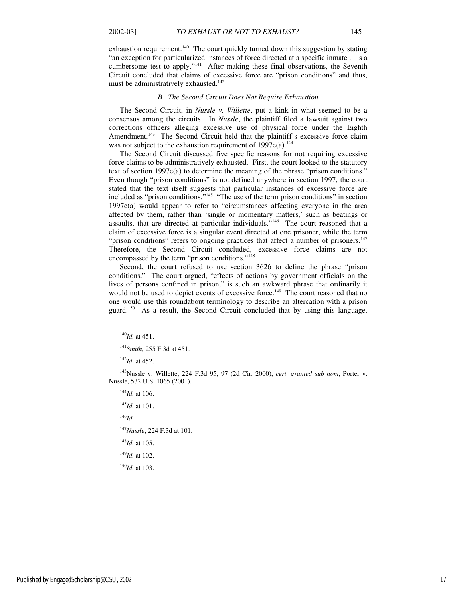exhaustion requirement.<sup>140</sup> The court quickly turned down this suggestion by stating "an exception for particularized instances of force directed at a specific inmate ... is a cumbersome test to apply."<sup>141</sup> After making these final observations, the Seventh Circuit concluded that claims of excessive force are "prison conditions" and thus, must be administratively exhausted.<sup>142</sup>

#### *B. The Second Circuit Does Not Require Exhaustion*

The Second Circuit, in *Nussle v. Willette*, put a kink in what seemed to be a consensus among the circuits. In *Nussle*, the plaintiff filed a lawsuit against two corrections officers alleging excessive use of physical force under the Eighth Amendment.<sup>143</sup> The Second Circuit held that the plaintiff's excessive force claim was not subject to the exhaustion requirement of  $1997e(a)$ .<sup>144</sup>

The Second Circuit discussed five specific reasons for not requiring excessive force claims to be administratively exhausted. First, the court looked to the statutory text of section 1997e(a) to determine the meaning of the phrase "prison conditions." Even though "prison conditions" is not defined anywhere in section 1997, the court stated that the text itself suggests that particular instances of excessive force are included as "prison conditions."<sup>145</sup> "The use of the term prison conditions" in section 1997e(a) would appear to refer to "circumstances affecting everyone in the area affected by them, rather than 'single or momentary matters,' such as beatings or assaults, that are directed at particular individuals."<sup>146</sup> The court reasoned that a claim of excessive force is a singular event directed at one prisoner, while the term "prison conditions" refers to ongoing practices that affect a number of prisoners.<sup>147</sup> Therefore, the Second Circuit concluded, excessive force claims are not encompassed by the term "prison conditions."<sup>148</sup>

Second, the court refused to use section 3626 to define the phrase "prison conditions." The court argued, "effects of actions by government officials on the lives of persons confined in prison," is such an awkward phrase that ordinarily it would not be used to depict events of excessive force.<sup>149</sup> The court reasoned that no one would use this roundabout terminology to describe an altercation with a prison guard.<sup>150</sup> As a result, the Second Circuit concluded that by using this language,

 $\overline{a}$ 

<sup>142</sup>*Id.* at 452.

<sup>143</sup>Nussle v. Willette, 224 F.3d 95, 97 (2d Cir. 2000), *cert. granted sub nom*, Porter v. Nussle, 532 U.S. 1065 (2001).

<sup>144</sup>*Id.* at 106.

<sup>145</sup>*Id.* at 101.

<sup>146</sup>*Id*.

<sup>147</sup>*Nussle*, 224 F.3d at 101.

<sup>148</sup>*Id.* at 105.

<sup>149</sup>*Id.* at 102.

<sup>150</sup>*Id.* at 103.

 $140$ *Id.* at 451.

<sup>141</sup>*Smith*, 255 F.3d at 451.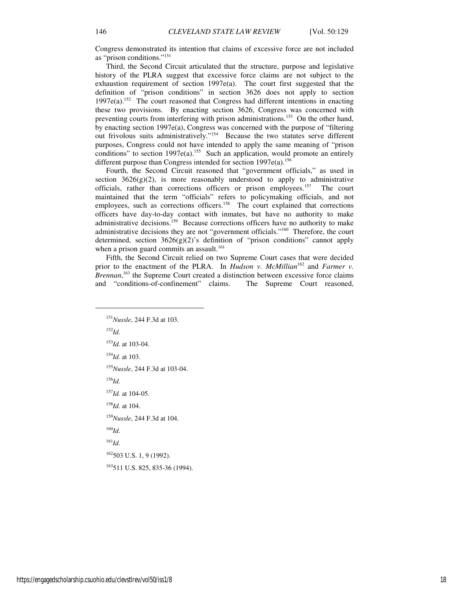Congress demonstrated its intention that claims of excessive force are not included as "prison conditions."<sup>151</sup>

Third, the Second Circuit articulated that the structure, purpose and legislative history of the PLRA suggest that excessive force claims are not subject to the exhaustion requirement of section 1997e(a). The court first suggested that the definition of "prison conditions" in section 3626 does not apply to section  $1997e(a)$ .<sup>152</sup> The court reasoned that Congress had different intentions in enacting these two provisions. By enacting section 3626, Congress was concerned with preventing courts from interfering with prison administrations.<sup>153</sup> On the other hand, by enacting section 1997e(a), Congress was concerned with the purpose of "filtering out frivolous suits administratively."<sup>154</sup> Because the two statutes serve different purposes, Congress could not have intended to apply the same meaning of "prison conditions" to section  $1997e(a)$ .<sup>155</sup> Such an application, would promote an entirely different purpose than Congress intended for section  $1997e(a)$ .<sup>156</sup>

Fourth, the Second Circuit reasoned that "government officials," as used in section  $3626(g)(2)$ , is more reasonably understood to apply to administrative officials, rather than corrections officers or prison employees.<sup>157</sup> The court maintained that the term "officials" refers to policymaking officials, and not employees, such as corrections officers.<sup>158</sup> The court explained that corrections officers have day-to-day contact with inmates, but have no authority to make administrative decisions.<sup>159</sup> Because corrections officers have no authority to make administrative decisions they are not "government officials."<sup>160</sup> Therefore, the court determined, section  $3626(g)(2)$ 's definition of "prison conditions" cannot apply when a prison guard commits an assault.<sup>161</sup>

Fifth, the Second Circuit relied on two Supreme Court cases that were decided prior to the enactment of the PLRA. In *Hudson v. McMillian*<sup>162</sup> and *Farmer v.* Brennan,<sup>163</sup> the Supreme Court created a distinction between excessive force claims and "conditions-of-confinement" claims. The Supreme Court reasoned,

<sup>163</sup>511 U.S. 825, 835-36 (1994).

1

<sup>151</sup>*Nussle*, 244 F.3d at 103. <sup>152</sup>*Id*. <sup>153</sup>*Id.* at 103-04. <sup>154</sup>*Id.* at 103. <sup>155</sup>*Nussle*, 244 F.3d at 103-04. <sup>156</sup>*Id.* <sup>157</sup>*Id.* at 104-05. <sup>158</sup>*Id.* at 104. <sup>159</sup>*Nussle*, 244 F.3d at 104. <sup>160</sup>*Id.* <sup>161</sup>*Id.*  $162$ 503 U.S. 1, 9 (1992).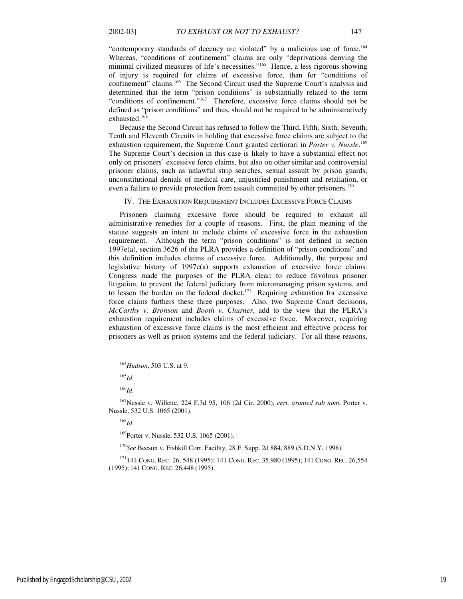"contemporary standards of decency are violated" by a malicious use of force.<sup>164</sup> Whereas, "conditions of confinement" claims are only "deprivations denying the minimal civilized measures of life's necessities."<sup>165</sup> Hence, a less rigorous showing of injury is required for claims of excessive force, than for "conditions of confinement" claims.<sup>166</sup> The Second Circuit used the Supreme Court's analysis and determined that the term "prison conditions" is substantially related to the term "conditions of confinement."<sup>167</sup> Therefore, excessive force claims should not be defined as "prison conditions" and thus, should not be required to be administratively exhausted.<sup>168</sup>

Because the Second Circuit has refused to follow the Third, Fifth, Sixth, Seventh, Tenth and Eleventh Circuits in holding that excessive force claims are subject to the exhaustion requirement, the Supreme Court granted certiorari in *Porter v. Nussle*.<sup>169</sup> The Supreme Court's decision in this case is likely to have a substantial effect not only on prisoners' excessive force claims, but also on other similar and controversial prisoner claims, such as unlawful strip searches, sexual assault by prison guards, unconstitutional denials of medical care, unjustified punishment and retaliation, or even a failure to provide protection from assault committed by other prisoners.<sup>170</sup>

IV. THE EXHAUSTION REQUIREMENT INCLUDES EXCESSIVE FORCE CLAIMS

Prisoners claiming excessive force should be required to exhaust all administrative remedies for a couple of reasons. First, the plain meaning of the statute suggests an intent to include claims of excessive force in the exhaustion requirement. Although the term "prison conditions" is not defined in section 1997e(a), section 3626 of the PLRA provides a definition of "prison conditions" and this definition includes claims of excessive force. Additionally, the purpose and legislative history of 1997e(a) supports exhaustion of excessive force claims. Congress made the purposes of the PLRA clear: to reduce frivolous prisoner litigation, to prevent the federal judiciary from micromanaging prison systems, and to lessen the burden on the federal docket.<sup>171</sup> Requiring exhaustion for excessive force claims furthers these three purposes. Also, two Supreme Court decisions, *McCarthy v. Bronson* and *Booth v. Churner*, add to the view that the PLRA's exhaustion requirement includes claims of excessive force. Moreover, requiring exhaustion of excessive force claims is the most efficient and effective process for prisoners as well as prison systems and the federal judiciary. For all these reasons,

1

<sup>167</sup>Nussle v. Willette, 224 F.3d 95, 106 (2d Cir. 2000), *cert. granted sub nom*, Porter v. Nussle, 532 U.S. 1065 (2001).

<sup>168</sup>*Id.*

<sup>169</sup>Porter v. Nussle, 532 U.S. 1065 (2001).

<sup>170</sup>*See* Beeson v. Fishkill Corr. Facility, 28 F. Supp. 2d 884, 889 (S.D.N.Y. 1998).

<sup>171</sup>141 CONG. REC. 26, 548 (1995); 141 CONG. REC. 35,980 (1995); 141 CONG. REC. 26,554 (1995); 141 CONG. REC. 26,448 (1995).

<sup>164</sup>*Hudson*, 503 U.S. at 9.

<sup>165</sup>*Id.*

<sup>166</sup>*Id.*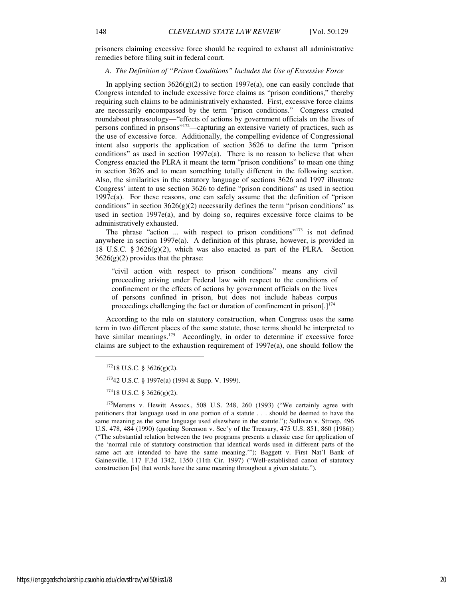prisoners claiming excessive force should be required to exhaust all administrative remedies before filing suit in federal court.

#### *A. The Definition of "Prison Conditions" Includes the Use of Excessive Force*

In applying section  $3626(g)(2)$  to section 1997e(a), one can easily conclude that Congress intended to include excessive force claims as "prison conditions," thereby requiring such claims to be administratively exhausted. First, excessive force claims are necessarily encompassed by the term "prison conditions." Congress created roundabout phraseology—"effects of actions by government officials on the lives of persons confined in prisons"<sup>172</sup>—capturing an extensive variety of practices, such as the use of excessive force. Additionally, the compelling evidence of Congressional intent also supports the application of section 3626 to define the term "prison conditions" as used in section 1997e(a). There is no reason to believe that when Congress enacted the PLRA it meant the term "prison conditions" to mean one thing in section 3626 and to mean something totally different in the following section. Also, the similarities in the statutory language of sections 3626 and 1997 illustrate Congress' intent to use section 3626 to define "prison conditions" as used in section 1997e(a). For these reasons, one can safely assume that the definition of "prison conditions" in section  $3626(g)(2)$  necessarily defines the term "prison conditions" as used in section 1997e(a), and by doing so, requires excessive force claims to be administratively exhausted.

The phrase "action ... with respect to prison conditions"<sup>173</sup> is not defined anywhere in section 1997e(a). A definition of this phrase, however, is provided in 18 U.S.C. §  $3626(g)(2)$ , which was also enacted as part of the PLRA. Section  $3626(g)(2)$  provides that the phrase:

"civil action with respect to prison conditions" means any civil proceeding arising under Federal law with respect to the conditions of confinement or the effects of actions by government officials on the lives of persons confined in prison, but does not include habeas corpus proceedings challenging the fact or duration of confinement in prison[.] $174$ 

According to the rule on statutory construction, when Congress uses the same term in two different places of the same statute, those terms should be interpreted to have similar meanings.<sup>175</sup> Accordingly, in order to determine if excessive force claims are subject to the exhaustion requirement of  $1997e(a)$ , one should follow the

1

 $17218$  U.S.C. § 3626(g)(2).

 $17342$  U.S.C. § 1997e(a) (1994 & Supp. V. 1999).

 $17418$  U.S.C. § 3626(g)(2).

<sup>&</sup>lt;sup>175</sup>Mertens v. Hewitt Assocs., 508 U.S. 248, 260 (1993) ("We certainly agree with petitioners that language used in one portion of a statute . . . should be deemed to have the same meaning as the same language used elsewhere in the statute."); Sullivan v. Stroop, 496 U.S. 478, 484 (1990) (quoting Sorenson v. Sec'y of the Treasury, 475 U.S. 851, 860 (1986)) ("The substantial relation between the two programs presents a classic case for application of the 'normal rule of statutory construction that identical words used in different parts of the same act are intended to have the same meaning.'"); Baggett v. First Nat'l Bank of Gainesville, 117 F.3d 1342, 1350 (11th Cir. 1997) ("Well-established canon of statutory construction [is] that words have the same meaning throughout a given statute.").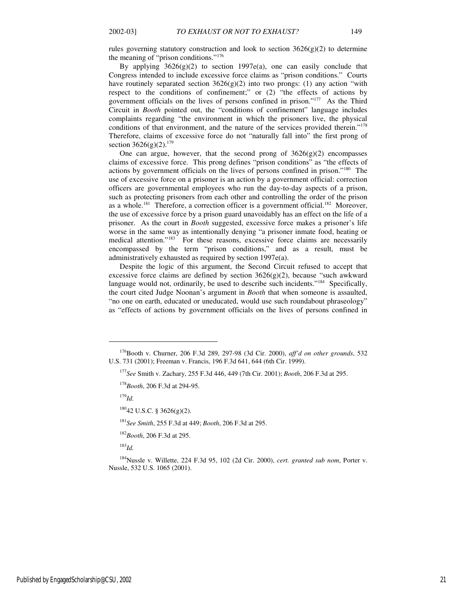rules governing statutory construction and look to section 3626(g)(2) to determine the meaning of "prison conditions."<sup>176</sup>

By applying  $3626(g)(2)$  to section 1997e(a), one can easily conclude that Congress intended to include excessive force claims as "prison conditions." Courts have routinely separated section  $3626(g)(2)$  into two prongs: (1) any action "with respect to the conditions of confinement;" or (2) "the effects of actions by government officials on the lives of persons confined in prison."<sup>177</sup> As the Third Circuit in *Booth* pointed out, the "conditions of confinement" language includes complaints regarding "the environment in which the prisoners live, the physical conditions of that environment, and the nature of the services provided therein."<sup>178</sup> Therefore, claims of excessive force do not "naturally fall into" the first prong of section  $3626(g)(2).^{179}$ 

One can argue, however, that the second prong of  $3626(g)(2)$  encompasses claims of excessive force. This prong defines "prison conditions" as "the effects of actions by government officials on the lives of persons confined in prison."<sup>180</sup> The use of excessive force on a prisoner is an action by a government official: correction officers are governmental employees who run the day-to-day aspects of a prison, such as protecting prisoners from each other and controlling the order of the prison as a whole.<sup>181</sup> Therefore, a correction officer is a government official.<sup>182</sup> Moreover, the use of excessive force by a prison guard unavoidably has an effect on the life of a prisoner. As the court in *Booth* suggested, excessive force makes a prisoner's life worse in the same way as intentionally denying "a prisoner inmate food, heating or medical attention."<sup>183</sup> For these reasons, excessive force claims are necessarily encompassed by the term "prison conditions," and as a result, must be administratively exhausted as required by section 1997e(a).

Despite the logic of this argument, the Second Circuit refused to accept that excessive force claims are defined by section  $3626(g)(2)$ , because "such awkward language would not, ordinarily, be used to describe such incidents."<sup>184</sup> Specifically, the court cited Judge Noonan's argument in *Booth* that when someone is assaulted, "no one on earth, educated or uneducated, would use such roundabout phraseology" as "effects of actions by government officials on the lives of persons confined in

<sup>179</sup>*Id.* 

1

<sup>180</sup>42 U.S.C. § 3626(g)(2).

<sup>181</sup>*See Smith*, 255 F.3d at 449; *Booth*, 206 F.3d at 295.

<sup>182</sup>*Booth*, 206 F.3d at 295.

<sup>183</sup>*Id.*

<sup>184</sup>Nussle v. Willette, 224 F.3d 95, 102 (2d Cir. 2000), *cert. granted sub nom*, Porter v. Nussle, 532 U.S. 1065 (2001).

<sup>176</sup>Booth v. Churner, 206 F.3d 289, 297-98 (3d Cir. 2000), *aff'd on other grounds*, 532 U.S. 731 (2001); Freeman v. Francis, 196 F.3d 641, 644 (6th Cir. 1999).

<sup>177</sup>*See* Smith v. Zachary, 255 F.3d 446, 449 (7th Cir. 2001); *Booth*, 206 F.3d at 295.

<sup>178</sup>*Booth*, 206 F.3d at 294-95.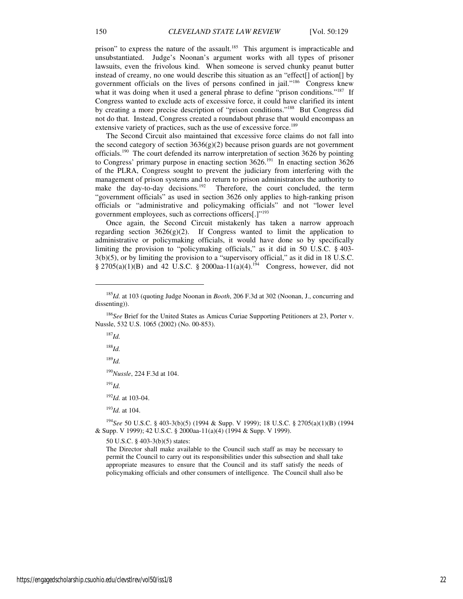prison" to express the nature of the assault.<sup>185</sup> This argument is impracticable and unsubstantiated. Judge's Noonan's argument works with all types of prisoner lawsuits, even the frivolous kind. When someone is served chunky peanut butter instead of creamy, no one would describe this situation as an "effect[] of action[] by government officials on the lives of persons confined in jail."<sup>186</sup> Congress knew what it was doing when it used a general phrase to define "prison conditions."<sup>187</sup> If Congress wanted to exclude acts of excessive force, it could have clarified its intent by creating a more precise description of "prison conditions."<sup>188</sup> But Congress did not do that. Instead, Congress created a roundabout phrase that would encompass an extensive variety of practices, such as the use of excessive force.<sup>189</sup>

The Second Circuit also maintained that excessive force claims do not fall into the second category of section  $3636(g)(2)$  because prison guards are not government officials.<sup>190</sup> The court defended its narrow interpretation of section 3626 by pointing to Congress' primary purpose in enacting section  $3626$ <sup>191</sup> In enacting section  $3626$ of the PLRA, Congress sought to prevent the judiciary from interfering with the management of prison systems and to return to prison administrators the authority to make the day-to-day decisions.<sup>192</sup> Therefore, the court concluded, the term "government officials" as used in section 3626 only applies to high-ranking prison officials or "administrative and policymaking officials" and not "lower level government employees, such as corrections officers[.]"<sup>193</sup>

Once again, the Second Circuit mistakenly has taken a narrow approach regarding section  $3626(g)(2)$ . If Congress wanted to limit the application to administrative or policymaking officials, it would have done so by specifically limiting the provision to "policymaking officials," as it did in 50 U.S.C. § 403- 3(b)(5), or by limiting the provision to a "supervisory official," as it did in 18 U.S.C. § 2705(a)(1)(B) and 42 U.S.C. § 2000aa-11(a)(4).<sup>194</sup> Congress, however, did not

<sup>187</sup>*Id.* 

 $\overline{a}$ 

 $188$ *Id.* 

<sup>189</sup>*Id.*

<sup>190</sup>*Nussle*, 224 F.3d at 104.

<sup>191</sup>*Id.*

<sup>194</sup>*See* 50 U.S.C. § 403-3(b)(5) (1994 & Supp. V 1999); 18 U.S.C. § 2705(a)(1)(B) (1994 & Supp. V 1999); 42 U.S.C. § 2000aa-11(a)(4) (1994 & Supp. V 1999).

50 U.S.C. § 403-3(b)(5) states:

The Director shall make available to the Council such staff as may be necessary to permit the Council to carry out its responsibilities under this subsection and shall take appropriate measures to ensure that the Council and its staff satisfy the needs of policymaking officials and other consumers of intelligence. The Council shall also be

<sup>185</sup>*Id.* at 103 (quoting Judge Noonan in *Booth*, 206 F.3d at 302 (Noonan, J., concurring and dissenting)).

<sup>186</sup>*See* Brief for the United States as Amicus Curiae Supporting Petitioners at 23, Porter v. Nussle, 532 U.S. 1065 (2002) (No. 00-853).

<sup>192</sup>*Id.* at 103-04.

<sup>193</sup>*Id.* at 104.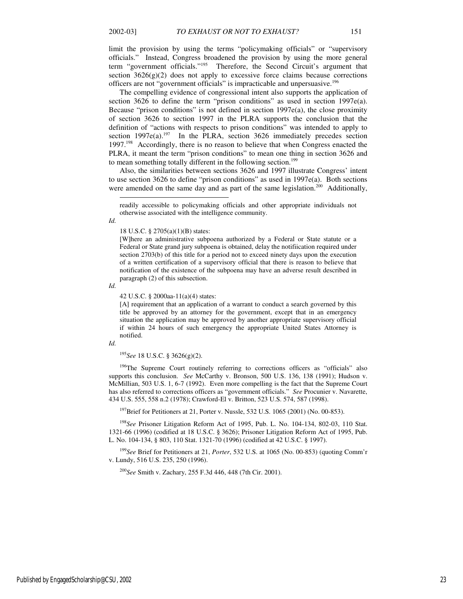limit the provision by using the terms "policymaking officials" or "supervisory officials." Instead, Congress broadened the provision by using the more general term "government officials."<sup>195</sup> Therefore, the Second Circuit's argument that section  $3626(g)(2)$  does not apply to excessive force claims because corrections officers are not "government officials" is impracticable and unpersuasive.<sup>196</sup>

The compelling evidence of congressional intent also supports the application of section 3626 to define the term "prison conditions" as used in section 1997e(a). Because "prison conditions" is not defined in section  $1997e(a)$ , the close proximity of section 3626 to section 1997 in the PLRA supports the conclusion that the definition of "actions with respects to prison conditions" was intended to apply to section  $1997e(a)$ .<sup>197</sup> In the PLRA, section 3626 immediately precedes section 1997.<sup>198</sup> Accordingly, there is no reason to believe that when Congress enacted the PLRA, it meant the term "prison conditions" to mean one thing in section 3626 and to mean something totally different in the following section.<sup>199</sup>

Also, the similarities between sections 3626 and 1997 illustrate Congress' intent to use section 3626 to define "prison conditions" as used in 1997e(a). Both sections were amended on the same day and as part of the same legislation.<sup>200</sup> Additionally,

*Id.* 

l

18 U.S.C. § 2705(a)(1)(B) states:

[W]here an administrative subpoena authorized by a Federal or State statute or a Federal or State grand jury subpoena is obtained, delay the notifiication required under section 2703(b) of this title for a period not to exceed ninety days upon the execution of a written certification of a supervisory official that there is reason to believe that notification of the existence of the subpoena may have an adverse result described in paragraph (2) of this subsection.

*Id.* 

42 U.S.C. § 2000aa-11(a)(4) states:

[A] requirement that an application of a warrant to conduct a search governed by this title be approved by an attorney for the government, except that in an emergency situation the application may be approved by another appropriate supervisory official if within 24 hours of such emergency the appropriate United States Attorney is notified.

*Id.* 

<sup>195</sup>*See* 18 U.S.C. § 3626(g)(2).

<sup>196</sup>The Supreme Court routinely referring to corrections officers as "officials" also supports this conclusion. *See* McCarthy v. Bronson, 500 U.S. 136, 138 (1991); Hudson v. McMillian, 503 U.S. 1, 6-7 (1992). Even more compelling is the fact that the Supreme Court has also referred to corrections officers as "government officials." *See* Procunier v. Navarette, 434 U.S. 555, 558 n.2 (1978); Crawford-El v. Britton, 523 U.S. 574, 587 (1998).

 $197$ Brief for Petitioners at 21, Porter v. Nussle, 532 U.S. 1065 (2001) (No. 00-853).

<sup>198</sup>*See* Prisoner Litigation Reform Act of 1995, Pub. L. No. 104-134, 802-03, 110 Stat. 1321-66 (1996) (codified at 18 U.S.C. § 3626); Prisoner Litigation Reform Act of 1995, Pub. L. No. 104-134, § 803, 110 Stat. 1321-70 (1996) (codified at 42 U.S.C. § 1997).

<sup>199</sup>*See* Brief for Petitioners at 21, *Porter*, 532 U.S. at 1065 (No. 00-853) (quoting Comm'r v. Lundy, 516 U.S. 235, 250 (1996).

<sup>200</sup>*See* Smith v. Zachary, 255 F.3d 446, 448 (7th Cir. 2001).

readily accessible to policymaking officials and other appropriate individuals not otherwise associated with the intelligence community.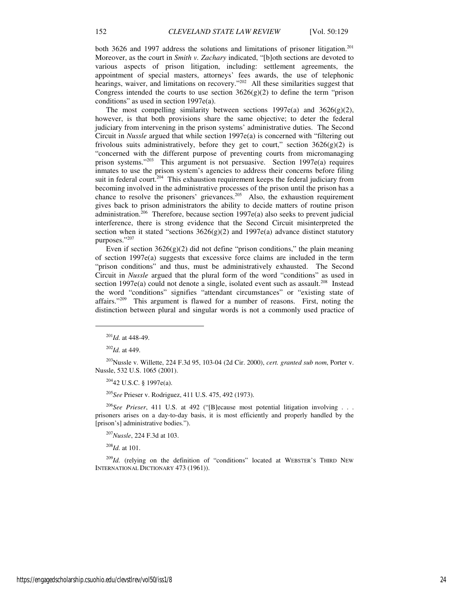both 3626 and 1997 address the solutions and limitations of prisoner litigation.<sup>201</sup> Moreover, as the court in *Smith v. Zachary* indicated, "[b]oth sections are devoted to various aspects of prison litigation, including: settlement agreements, the appointment of special masters, attorneys' fees awards, the use of telephonic hearings, waiver, and limitations on recovery."<sup>202</sup> All these similarities suggest that Congress intended the courts to use section  $3626(g)(2)$  to define the term "prison" conditions" as used in section 1997e(a).

The most compelling similarity between sections  $1997e(a)$  and  $3626(g)(2)$ , however, is that both provisions share the same objective; to deter the federal judiciary from intervening in the prison systems' administrative duties. The Second Circuit in *Nussle* argued that while section 1997e(a) is concerned with "filtering out frivolous suits administratively, before they get to court," section  $3626(g)(2)$  is "concerned with the different purpose of preventing courts from micromanaging prison systems."<sup>203</sup> This argument is not persuasive. Section 1997e(a) requires inmates to use the prison system's agencies to address their concerns before filing suit in federal court.<sup>204</sup> This exhaustion requirement keeps the federal judiciary from becoming involved in the administrative processes of the prison until the prison has a chance to resolve the prisoners' grievances.<sup>205</sup> Also, the exhaustion requirement gives back to prison administrators the ability to decide matters of routine prison administration.<sup>206</sup> Therefore, because section 1997e(a) also seeks to prevent judicial interference, there is strong evidence that the Second Circuit misinterpreted the section when it stated "sections  $3626(g)(2)$  and  $1997e(a)$  advance distinct statutory purposes."<sup>207</sup>

Even if section  $3626(g)(2)$  did not define "prison conditions," the plain meaning of section 1997e(a) suggests that excessive force claims are included in the term "prison conditions" and thus, must be administratively exhausted. The Second Circuit in *Nussle* argued that the plural form of the word "conditions" as used in section 1997e(a) could not denote a single, isolated event such as assault.<sup>208</sup> Instead the word "conditions" signifies "attendant circumstances" or "existing state of affairs."<sup>209</sup> This argument is flawed for a number of reasons. First, noting the distinction between plural and singular words is not a commonly used practice of

j

<sup>203</sup>Nussle v. Willette, 224 F.3d 95, 103-04 (2d Cir. 2000), *cert. granted sub nom*, Porter v. Nussle, 532 U.S. 1065 (2001).

<sup>204</sup>42 U.S.C. § 1997e(a).

<sup>205</sup>*See* Prieser v. Rodriguez, 411 U.S. 475, 492 (1973).

<sup>206</sup>*See Prieser*, 411 U.S. at 492 ("[B]ecause most potential litigation involving . . . prisoners arises on a day-to-day basis, it is most efficiently and properly handled by the [prison's] administrative bodies.").

<sup>207</sup>*Nussle*, 224 F.3d at 103.

<sup>208</sup>*Id.* at 101.

 $^{209}$ *Id.* (relying on the definition of "conditions" located at WEBSTER'S THIRD NEW INTERNATIONAL DICTIONARY 473 (1961)).

<sup>201</sup>*Id.* at 448-49.

<sup>202</sup>*Id.* at 449.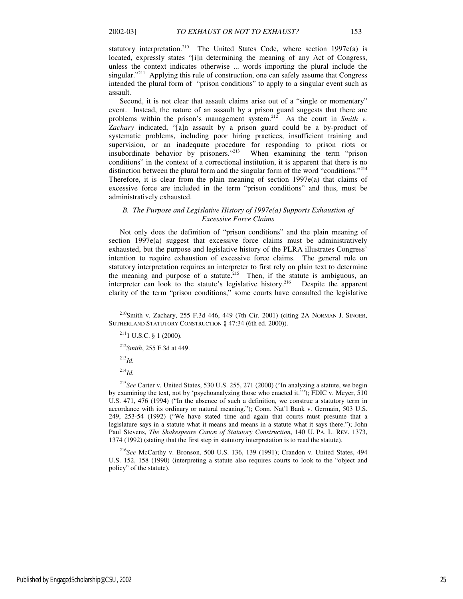statutory interpretation.<sup>210</sup> The United States Code, where section 1997e(a) is located, expressly states "[i]n determining the meaning of any Act of Congress, unless the context indicates otherwise ... words importing the plural include the singular."<sup>211</sup> Applying this rule of construction, one can safely assume that Congress intended the plural form of "prison conditions" to apply to a singular event such as assault.

Second, it is not clear that assault claims arise out of a "single or momentary" event. Instead, the nature of an assault by a prison guard suggests that there are problems within the prison's management system.<sup>212</sup> As the court in *Smith v*. *Zachary* indicated, "[a]n assault by a prison guard could be a by-product of systematic problems, including poor hiring practices, insufficient training and supervision, or an inadequate procedure for responding to prison riots or insubordinate behavior by prisoners."<sup>213</sup> When examining the term "prison conditions" in the context of a correctional institution, it is apparent that there is no distinction between the plural form and the singular form of the word "conditions."<sup>214</sup> Therefore, it is clear from the plain meaning of section 1997e(a) that claims of excessive force are included in the term "prison conditions" and thus, must be administratively exhausted.

## *B. The Purpose and Legislative History of 1997e(a) Supports Exhaustion of Excessive Force Claims*

Not only does the definition of "prison conditions" and the plain meaning of section 1997e(a) suggest that excessive force claims must be administratively exhausted, but the purpose and legislative history of the PLRA illustrates Congress' intention to require exhaustion of excessive force claims. The general rule on statutory interpretation requires an interpreter to first rely on plain text to determine the meaning and purpose of a statute.<sup>215</sup> Then, if the statute is ambiguous, an interpreter can look to the statute's legislative history.<sup>216</sup> Despite the apparent clarity of the term "prison conditions," some courts have consulted the legislative

<sup>212</sup>*Smith*, 255 F.3d at 449.

<sup>213</sup>*Id.*

1

 $^{214}$ *Id.* 

<sup>216</sup>*See* McCarthy v. Bronson, 500 U.S. 136, 139 (1991); Crandon v. United States, 494 U.S. 152, 158 (1990) (interpreting a statute also requires courts to look to the "object and policy" of the statute).

<sup>210</sup>Smith v. Zachary, 255 F.3d 446, 449 (7th Cir. 2001) (citing 2A NORMAN J. SINGER, SUTHERLAND STATUTORY CONSTRUCTION § 47:34 (6th ed. 2000)).

 $^{211}$ 1 U.S.C. § 1 (2000).

<sup>215</sup>*See* Carter v. United States, 530 U.S. 255, 271 (2000) ("In analyzing a statute, we begin by examining the text, not by 'psychoanalyzing those who enacted it.'"); FDIC v. Meyer, 510 U.S. 471, 476 (1994) ("In the absence of such a definition, we construe a statutory term in accordance with its ordinary or natural meaning."); Conn. Nat'l Bank v. Germain, 503 U.S. 249, 253-54 (1992) ("We have stated time and again that courts must presume that a legislature says in a statute what it means and means in a statute what it says there."); John Paul Stevens, *The Shakespeare Canon of Statutory Construction*, 140 U. PA. L. REV. 1373, 1374 (1992) (stating that the first step in statutory interpretation is to read the statute).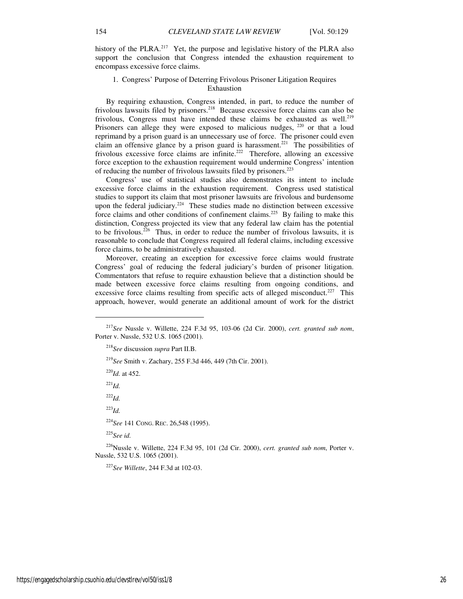history of the PLRA.<sup>217</sup> Yet, the purpose and legislative history of the PLRA also support the conclusion that Congress intended the exhaustion requirement to encompass excessive force claims.

## 1. Congress' Purpose of Deterring Frivolous Prisoner Litigation Requires Exhaustion

By requiring exhaustion, Congress intended, in part, to reduce the number of frivolous lawsuits filed by prisoners.<sup>218</sup> Because excessive force claims can also be frivolous, Congress must have intended these claims be exhausted as well.<sup>219</sup> Prisoners can allege they were exposed to malicious nudges, <sup>220</sup> or that a loud reprimand by a prison guard is an unnecessary use of force. The prisoner could even claim an offensive glance by a prison guard is harassment.<sup>221</sup> The possibilities of frivolous excessive force claims are infinite.<sup>222</sup> Therefore, allowing an excessive force exception to the exhaustion requirement would undermine Congress' intention of reducing the number of frivolous lawsuits filed by prisoners.<sup>223</sup>

Congress' use of statistical studies also demonstrates its intent to include excessive force claims in the exhaustion requirement. Congress used statistical studies to support its claim that most prisoner lawsuits are frivolous and burdensome upon the federal judiciary.<sup>224</sup> These studies made no distinction between excessive force claims and other conditions of confinement claims.<sup>225</sup> By failing to make this distinction, Congress projected its view that any federal law claim has the potential to be frivolous.<sup>226</sup> Thus, in order to reduce the number of frivolous lawsuits, it is reasonable to conclude that Congress required all federal claims, including excessive force claims, to be administratively exhausted.

Moreover, creating an exception for excessive force claims would frustrate Congress' goal of reducing the federal judiciary's burden of prisoner litigation. Commentators that refuse to require exhaustion believe that a distinction should be made between excessive force claims resulting from ongoing conditions, and excessive force claims resulting from specific acts of alleged misconduct.<sup>227</sup> This approach, however, would generate an additional amount of work for the district

<sup>218</sup>*See* discussion *supra* Part II.B.

<sup>219</sup>*See* Smith v. Zachary, 255 F.3d 446, 449 (7th Cir. 2001).

<sup>220</sup>*Id.* at 452.

 $^{221}$ *Id.* 

j

 $^{222}$ *Id.* 

<sup>223</sup>*Id.*

<sup>224</sup>*See* 141 CONG. REC. 26,548 (1995).

<sup>225</sup>*See id.* 

<sup>226</sup>Nussle v. Willette, 224 F.3d 95, 101 (2d Cir. 2000), *cert. granted sub nom*, Porter v. Nussle, 532 U.S. 1065 (2001).

<sup>227</sup>*See Willette*, 244 F.3d at 102-03.

<sup>217</sup>*See* Nussle v. Willette, 224 F.3d 95, 103-06 (2d Cir. 2000), *cert. granted sub nom*, Porter v. Nussle, 532 U.S. 1065 (2001).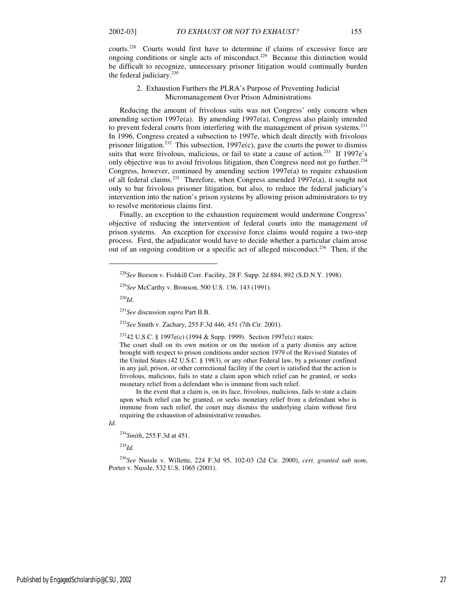courts.<sup>228</sup> Courts would first have to determine if claims of excessive force are ongoing conditions or single acts of misconduct.<sup>229</sup> Because this distinction would be difficult to recognize, unnecessary prisoner litigation would continually burden the federal judiciary. $230$ 

#### 2. Exhaustion Furthers the PLRA's Purpose of Preventing Judicial Micromanagement Over Prison Administrations

Reducing the amount of frivolous suits was not Congress' only concern when amending section 1997e(a). By amending 1997e(a), Congress also plainly intended to prevent federal courts from interfering with the management of prison systems.<sup>231</sup> In 1996, Congress created a subsection to 1997e, which dealt directly with frivolous prisoner litigation.<sup>232</sup> This subsection, 1997e(c), gave the courts the power to dismiss suits that were frivolous, malicious, or fail to state a cause of action.<sup>233</sup> If 1997e's only objective was to avoid frivolous litigation, then Congress need not go further.<sup>234</sup> Congress, however, continued by amending section 1997e(a) to require exhaustion of all federal claims.<sup>235</sup> Therefore, when Congress amended 1997e(a), it sought not only to bar frivolous prisoner litigation, but also, to reduce the federal judiciary's intervention into the nation's prison systems by allowing prison administrators to try to resolve meritorious claims first.

Finally, an exception to the exhaustion requirement would undermine Congress' objective of reducing the intervention of federal courts into the management of prison systems. An exception for excessive force claims would require a two-step process. First, the adjudicator would have to decide whether a particular claim arose out of an ongoing condition or a specific act of alleged misconduct.<sup>236</sup> Then, if the

<sup>230</sup>*Id.* 

j

The court shall on its own motion or on the motion of a party dismiss any action brought with respect to prison conditions under section 1979 of the Revised Statutes of the United States (42 U.S.C. § 1983), or any other Federal law, by a prisoner confined in any jail, prison, or other correctional facility if the court is satisfied that the action is frivolous, malicious, fails to state a claim upon which relief can be granted, or seeks monetary relief from a defendant who is immune from such relief.

In the event that a claim is, on its face, frivolous, malicious, fails to state a claim upon which relief can be granted, or seeks monetary relief from a defendant who is immune from such relief, the court may dismiss the underlying claim without first requiring the exhaustion of administrative remedies.

*Id.* 

<sup>234</sup>*Smith*, 255 F.3d at 451.

<sup>235</sup>*Id.*

<sup>236</sup>*See* Nussle v. Willette, 224 F.3d 95, 102-03 (2d Cir. 2000), *cert. granted sub nom*, Porter v. Nussle, 532 U.S. 1065 (2001).

<sup>228</sup>*See* Beeson v. Fishkill Corr. Facility, 28 F. Supp. 2d 884, 892 (S.D.N.Y. 1998).

<sup>229</sup>*See* McCarthy v. Bronson, 500 U.S. 136, 143 (1991).

<sup>231</sup>*See* discussion *supra* Part II.B.

<sup>232</sup>*See* Smith v. Zachary, 255 F.3d 446, 451 (7th Cir. 2001).

<sup>233</sup>42 U.S.C. § 1997e(c) (1994 & Supp. 1999). Section 1997e(c) states: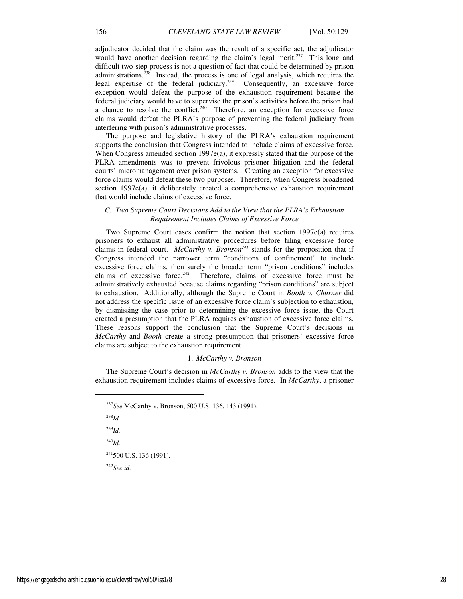adjudicator decided that the claim was the result of a specific act, the adjudicator would have another decision regarding the claim's legal merit.<sup>237</sup> This long and difficult two-step process is not a question of fact that could be determined by prison administrations. $238$  Instead, the process is one of legal analysis, which requires the legal expertise of the federal judiciary.<sup>239</sup> Consequently, an excessive force exception would defeat the purpose of the exhaustion requirement because the federal judiciary would have to supervise the prison's activities before the prison had a chance to resolve the conflict.<sup>240</sup> Therefore, an exception for excessive force claims would defeat the PLRA's purpose of preventing the federal judiciary from interfering with prison's administrative processes.

The purpose and legislative history of the PLRA's exhaustion requirement supports the conclusion that Congress intended to include claims of excessive force. When Congress amended section 1997e(a), it expressly stated that the purpose of the PLRA amendments was to prevent frivolous prisoner litigation and the federal courts' micromanagement over prison systems. Creating an exception for excessive force claims would defeat these two purposes. Therefore, when Congress broadened section 1997e(a), it deliberately created a comprehensive exhaustion requirement that would include claims of excessive force.

## *C. Two Supreme Court Decisions Add to the View that the PLRA's Exhaustion Requirement Includes Claims of Excessive Force*

Two Supreme Court cases confirm the notion that section 1997e(a) requires prisoners to exhaust all administrative procedures before filing excessive force claims in federal court. *McCarthy v. Bronson<sup>241</sup>* stands for the proposition that if Congress intended the narrower term "conditions of confinement" to include excessive force claims, then surely the broader term "prison conditions" includes claims of excessive force.<sup>242</sup> Therefore, claims of excessive force must be administratively exhausted because claims regarding "prison conditions" are subject to exhaustion. Additionally, although the Supreme Court in *Booth v. Churner* did not address the specific issue of an excessive force claim's subjection to exhaustion, by dismissing the case prior to determining the excessive force issue, the Court created a presumption that the PLRA requires exhaustion of excessive force claims. These reasons support the conclusion that the Supreme Court's decisions in *McCarthy* and *Booth* create a strong presumption that prisoners' excessive force claims are subject to the exhaustion requirement.

#### 1. *McCarthy v. Bronson*

The Supreme Court's decision in *McCarthy v. Bronson* adds to the view that the exhaustion requirement includes claims of excessive force. In *McCarthy*, a prisoner

<sup>237</sup>*See* McCarthy v. Bronson, 500 U.S. 136, 143 (1991). <sup>238</sup>*Id.*  <sup>239</sup>*Id.*  <sup>240</sup>*Id.* 

 $241$ 500 U.S. 136 (1991).

<sup>242</sup>*See id.* 

1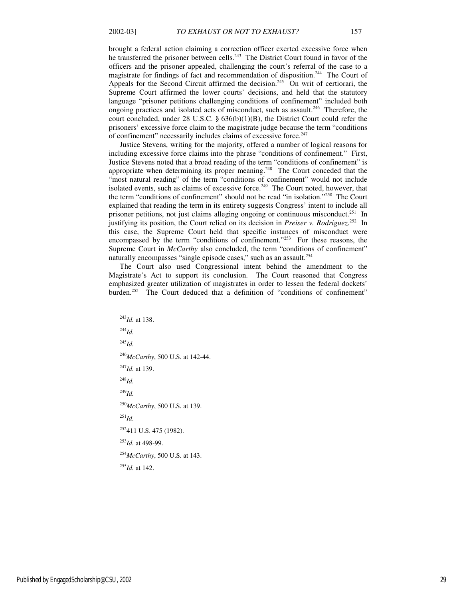j

brought a federal action claiming a correction officer exerted excessive force when he transferred the prisoner between cells.<sup>243</sup> The District Court found in favor of the officers and the prisoner appealed, challenging the court's referral of the case to a magistrate for findings of fact and recommendation of disposition.<sup>244</sup> The Court of Appeals for the Second Circuit affirmed the decision.<sup>245</sup> On writ of certiorari, the Supreme Court affirmed the lower courts' decisions, and held that the statutory language "prisoner petitions challenging conditions of confinement" included both ongoing practices and isolated acts of misconduct, such as assault.<sup>246</sup> Therefore, the court concluded, under 28 U.S.C. § 636(b)(1)(B), the District Court could refer the prisoners' excessive force claim to the magistrate judge because the term "conditions of confinement" necessarily includes claims of excessive force.<sup>247</sup>

Justice Stevens, writing for the majority, offered a number of logical reasons for including excessive force claims into the phrase "conditions of confinement." First, Justice Stevens noted that a broad reading of the term "conditions of confinement" is appropriate when determining its proper meaning.<sup>248</sup> The Court conceded that the "most natural reading" of the term "conditions of confinement" would not include isolated events, such as claims of excessive force.<sup>249</sup> The Court noted, however, that the term "conditions of confinement" should not be read "in isolation."<sup>250</sup> The Court explained that reading the term in its entirety suggests Congress' intent to include all prisoner petitions, not just claims alleging ongoing or continuous misconduct.<sup>251</sup> In justifying its position, the Court relied on its decision in *Preiser v. Rodriguez*.<sup>252</sup> In this case, the Supreme Court held that specific instances of misconduct were encompassed by the term "conditions of confinement."<sup>253</sup> For these reasons, the Supreme Court in *McCarthy* also concluded, the term "conditions of confinement" naturally encompasses "single episode cases," such as an assault.<sup>254</sup>

The Court also used Congressional intent behind the amendment to the Magistrate's Act to support its conclusion. The Court reasoned that Congress emphasized greater utilization of magistrates in order to lessen the federal dockets' burden.<sup>255</sup> The Court deduced that a definition of "conditions of confinement"

<sup>243</sup>*Id.* at 138. <sup>244</sup>*Id.*  $^{245}$ *Id.* <sup>246</sup>*McCarthy*, 500 U.S. at 142-44. <sup>247</sup>*Id.* at 139. <sup>248</sup>*Id.* <sup>249</sup>*Id.* <sup>250</sup>*McCarthy*, 500 U.S. at 139. <sup>251</sup>*Id.* <sup>252</sup>411 U.S. 475 (1982). <sup>253</sup>*Id.* at 498-99. <sup>254</sup>*McCarthy*, 500 U.S. at 143. <sup>255</sup>*Id.* at 142.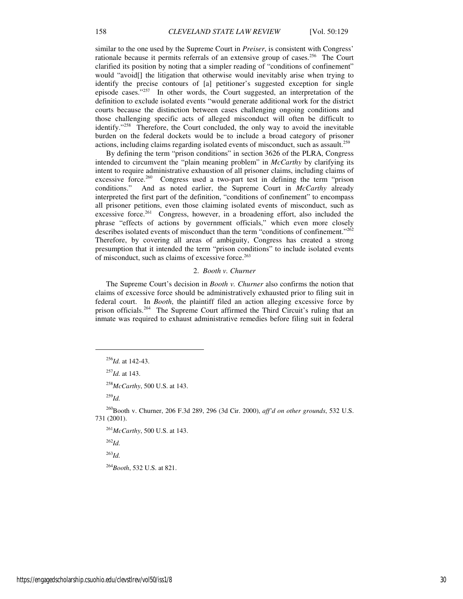similar to the one used by the Supreme Court in *Preiser*, is consistent with Congress' rationale because it permits referrals of an extensive group of cases.<sup>256</sup> The Court clarified its position by noting that a simpler reading of "conditions of confinement" would "avoid[] the litigation that otherwise would inevitably arise when trying to identify the precise contours of [a] petitioner's suggested exception for single episode cases."<sup>257</sup> In other words, the Court suggested, an interpretation of the definition to exclude isolated events "would generate additional work for the district courts because the distinction between cases challenging ongoing conditions and those challenging specific acts of alleged misconduct will often be difficult to identify." $258$  Therefore, the Court concluded, the only way to avoid the inevitable burden on the federal dockets would be to include a broad category of prisoner actions, including claims regarding isolated events of misconduct, such as assault.<sup>259</sup>

By defining the term "prison conditions" in section 3626 of the PLRA, Congress intended to circumvent the "plain meaning problem" in *McCarthy* by clarifying its intent to require administrative exhaustion of all prisoner claims, including claims of excessive force.<sup>260</sup> Congress used a two-part test in defining the term "prison" conditions." And as noted earlier, the Supreme Court in *McCarthy* already interpreted the first part of the definition, "conditions of confinement" to encompass all prisoner petitions, even those claiming isolated events of misconduct, such as excessive force.<sup>261</sup> Congress, however, in a broadening effort, also included the phrase "effects of actions by government officials," which even more closely describes isolated events of misconduct than the term "conditions of confinement."<sup>262</sup> Therefore, by covering all areas of ambiguity, Congress has created a strong presumption that it intended the term "prison conditions" to include isolated events of misconduct, such as claims of excessive force.<sup>263</sup>

## 2. *Booth v. Churner*

The Supreme Court's decision in *Booth v. Churner* also confirms the notion that claims of excessive force should be administratively exhausted prior to filing suit in federal court. In *Booth*, the plaintiff filed an action alleging excessive force by prison officials.<sup>264</sup> The Supreme Court affirmed the Third Circuit's ruling that an inmate was required to exhaust administrative remedies before filing suit in federal

<sup>257</sup>*Id.* at 143.

<sup>258</sup>*McCarthy*, 500 U.S. at 143.

<sup>259</sup>*Id.*

 $\overline{a}$ 

<sup>260</sup>Booth v. Churner, 206 F.3d 289, 296 (3d Cir. 2000), *aff'd on other grounds*, 532 U.S. 731 (2001).

<sup>261</sup>*McCarthy*, 500 U.S. at 143.

<sup>262</sup>*Id.*

 $^{263}$ *Id.* 

<sup>264</sup>*Booth*, 532 U.S. at 821.

<sup>256</sup>*Id.* at 142-43.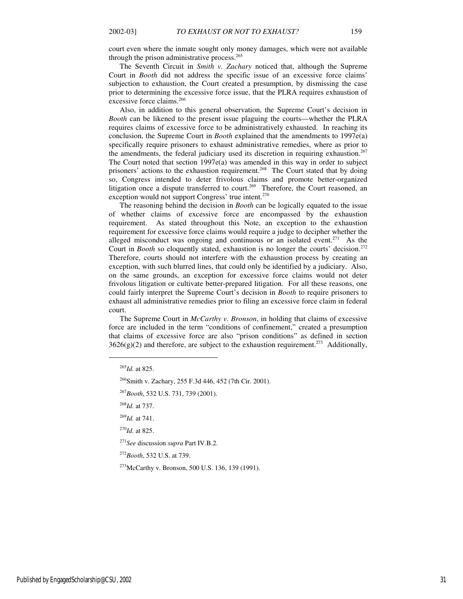court even where the inmate sought only money damages, which were not available through the prison administrative process.<sup>265</sup>

The Seventh Circuit in *Smith v. Zachary* noticed that, although the Supreme Court in *Booth* did not address the specific issue of an excessive force claims' subjection to exhaustion, the Court created a presumption, by dismissing the case prior to determining the excessive force issue, that the PLRA requires exhaustion of excessive force claims.<sup>266</sup>

Also, in addition to this general observation, the Supreme Court's decision in *Booth* can be likened to the present issue plaguing the courts—whether the PLRA requires claims of excessive force to be administratively exhausted. In reaching its conclusion, the Supreme Court in *Booth* explained that the amendments to 1997e(a) specifically require prisoners to exhaust administrative remedies, where as prior to the amendments, the federal judiciary used its discretion in requiring exhaustion.<sup>267</sup> The Court noted that section 1997e(a) was amended in this way in order to subject prisoners' actions to the exhaustion requirement.<sup>268</sup> The Court stated that by doing so, Congress intended to deter frivolous claims and promote better-organized litigation once a dispute transferred to court.<sup>269</sup> Therefore, the Court reasoned, an exception would not support Congress' true intent.<sup>270</sup>

The reasoning behind the decision in *Booth* can be logically equated to the issue of whether claims of excessive force are encompassed by the exhaustion requirement. As stated throughout this Note, an exception to the exhaustion requirement for excessive force claims would require a judge to decipher whether the alleged misconduct was ongoing and continuous or an isolated event.<sup>271</sup> As the Court in *Booth* so eloquently stated, exhaustion is no longer the courts' decision.<sup>272</sup> Therefore, courts should not interfere with the exhaustion process by creating an exception, with such blurred lines, that could only be identified by a judiciary. Also, on the same grounds, an exception for excessive force claims would not deter frivolous litigation or cultivate better-prepared litigation. For all these reasons, one could fairly interpret the Supreme Court's decision in *Booth* to require prisoners to exhaust all administrative remedies prior to filing an excessive force claim in federal court.

The Supreme Court in *McCarthy v. Bronson*, in holding that claims of excessive force are included in the term "conditions of confinement," created a presumption that claims of excessive force are also "prison conditions" as defined in section  $3626(g)(2)$  and therefore, are subject to the exhaustion requirement.<sup>273</sup> Additionally,

1

<sup>272</sup>*Booth*, 532 U.S. at 739.

<sup>265</sup>*Id.* at 825.

<sup>266</sup>Smith v. Zachary, 255 F.3d 446, 452 (7th Cir. 2001).

<sup>267</sup>*Booth*, 532 U.S. 731, 739 (2001).

<sup>268</sup>*Id.* at 737.

<sup>269</sup>*Id.* at 741.

<sup>270</sup>*Id.* at 825.

<sup>271</sup>*See* discussion *supra* Part IV.B.2.

<sup>&</sup>lt;sup>273</sup>McCarthy v. Bronson, 500 U.S. 136, 139 (1991).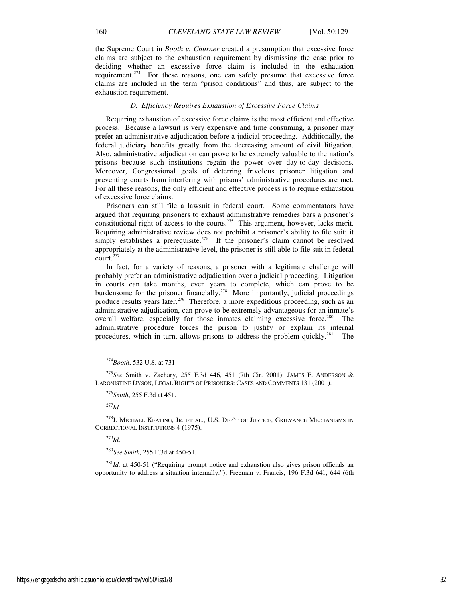the Supreme Court in *Booth v. Churner* created a presumption that excessive force claims are subject to the exhaustion requirement by dismissing the case prior to deciding whether an excessive force claim is included in the exhaustion requirement.<sup>274</sup> For these reasons, one can safely presume that excessive force claims are included in the term "prison conditions" and thus, are subject to the exhaustion requirement.

#### *D. Efficiency Requires Exhaustion of Excessive Force Claims*

Requiring exhaustion of excessive force claims is the most efficient and effective process. Because a lawsuit is very expensive and time consuming, a prisoner may prefer an administrative adjudication before a judicial proceeding. Additionally, the federal judiciary benefits greatly from the decreasing amount of civil litigation. Also, administrative adjudication can prove to be extremely valuable to the nation's prisons because such institutions regain the power over day-to-day decisions. Moreover, Congressional goals of deterring frivolous prisoner litigation and preventing courts from interfering with prisons' administrative procedures are met. For all these reasons, the only efficient and effective process is to require exhaustion of excessive force claims.

Prisoners can still file a lawsuit in federal court. Some commentators have argued that requiring prisoners to exhaust administrative remedies bars a prisoner's constitutional right of access to the courts.<sup>275</sup> This argument, however, lacks merit. Requiring administrative review does not prohibit a prisoner's ability to file suit; it simply establishes a prerequisite.<sup>276</sup> If the prisoner's claim cannot be resolved appropriately at the administrative level, the prisoner is still able to file suit in federal  $\text{court.}^{277}$ 

In fact, for a variety of reasons, a prisoner with a legitimate challenge will probably prefer an administrative adjudication over a judicial proceeding. Litigation in courts can take months, even years to complete, which can prove to be burdensome for the prisoner financially.<sup>278</sup> More importantly, judicial proceedings produce results years later.<sup>279</sup> Therefore, a more expeditious proceeding, such as an administrative adjudication, can prove to be extremely advantageous for an inmate's overall welfare, especially for those inmates claiming excessive force.<sup>280</sup> The administrative procedure forces the prison to justify or explain its internal procedures, which in turn, allows prisons to address the problem quickly.<sup>281</sup> The

<sup>277</sup>*Id.*

j

 $^{278}$ J. MICHAEL KEATING, JR. ET AL., U.S. DEP'T OF JUSTICE, GRIEVANCE MECHANISMS IN CORRECTIONAL INSTITUTIONS 4 (1975).

<sup>279</sup>*Id*.

<sup>280</sup>*See Smith*, 255 F.3d at 450-51.

 $^{281}$ *Id.* at 450-51 ("Requiring prompt notice and exhaustion also gives prison officials an opportunity to address a situation internally."); Freeman v. Francis, 196 F.3d 641, 644 (6th

<sup>274</sup>*Booth*, 532 U.S. at 731.

<sup>275</sup>*See* Smith v. Zachary, 255 F.3d 446, 451 (7th Cir. 2001); JAMES F. ANDERSON & LARONISTINE DYSON, LEGAL RIGHTS OF PRISONERS: CASES AND COMMENTS 131 (2001).

<sup>276</sup>*Smith*, 255 F.3d at 451.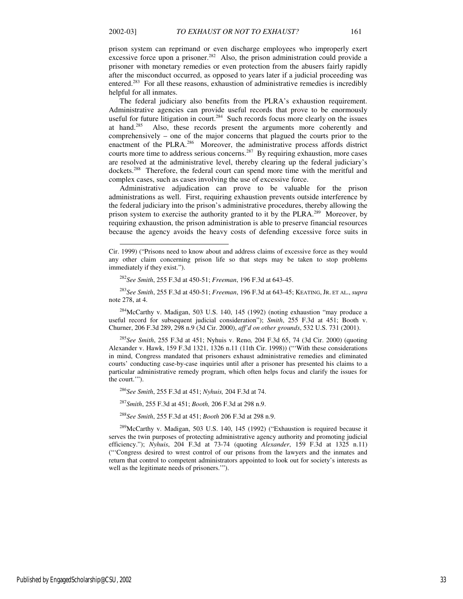prison system can reprimand or even discharge employees who improperly exert excessive force upon a prisoner.<sup>282</sup> Also, the prison administration could provide a prisoner with monetary remedies or even protection from the abusers fairly rapidly after the misconduct occurred, as opposed to years later if a judicial proceeding was entered.<sup>283</sup> For all these reasons, exhaustion of administrative remedies is incredibly helpful for all inmates.

The federal judiciary also benefits from the PLRA's exhaustion requirement. Administrative agencies can provide useful records that prove to be enormously useful for future litigation in court.<sup>284</sup> Such records focus more clearly on the issues at hand.<sup>285</sup> Also, these records present the arguments more coherently and comprehensively – one of the major concerns that plagued the courts prior to the enactment of the PLRA.<sup>286</sup> Moreover, the administrative process affords district courts more time to address serious concerns.<sup>287</sup> By requiring exhaustion, more cases are resolved at the administrative level, thereby clearing up the federal judiciary's dockets.<sup>288</sup> Therefore, the federal court can spend more time with the meritful and complex cases, such as cases involving the use of excessive force.

Administrative adjudication can prove to be valuable for the prison administrations as well. First, requiring exhaustion prevents outside interference by the federal judiciary into the prison's administrative procedures, thereby allowing the prison system to exercise the authority granted to it by the PLRA.<sup>289</sup> Moreover, by requiring exhaustion, the prison administration is able to preserve financial resources because the agency avoids the heavy costs of defending excessive force suits in

l

<sup>283</sup>*See Smith*, 255 F.3d at 450-51; *Freeman*, 196 F.3d at 643-45; KEATING, JR. ET AL., *supra* note 278, at 4.

<sup>284</sup>McCarthy v. Madigan, 503 U.S. 140, 145 (1992) (noting exhaustion "may produce a useful record for subsequent judicial consideration"); *Smith*, 255 F.3d at 451; Booth v. Churner, 206 F.3d 289, 298 n.9 (3d Cir. 2000), *aff'd on other grounds*, 532 U.S. 731 (2001).

<sup>285</sup>*See Smith*, 255 F.3d at 451; Nyhuis v. Reno*,* 204 F.3d 65, 74 (3d Cir. 2000) (quoting Alexander v. Hawk, 159 F.3d 1321, 1326 n.11 (11th Cir. 1998)) ("'With these considerations in mind, Congress mandated that prisoners exhaust administrative remedies and eliminated courts' conducting case-by-case inquiries until after a prisoner has presented his claims to a particular administrative remedy program, which often helps focus and clarify the issues for the court.'").

<sup>286</sup>*See Smith*, 255 F.3d at 451; *Nyhuis,* 204 F.3d at 74.

<sup>287</sup>*Smith*, 255 F.3d at 451; *Booth,* 206 F.3d at 298 n.9.

<sup>288</sup>*See Smith*, 255 F.3d at 451; *Booth* 206 F.3d at 298 n.9.

<sup>289</sup>McCarthy v. Madigan, 503 U.S. 140, 145 (1992) ("Exhaustion is required because it serves the twin purposes of protecting administrative agency authority and promoting judicial efficiency."); *Nyhuis*, 204 F.3d at 73-74 (quoting *Alexander*, 159 F.3d at 1325 n.11) ("'Congress desired to wrest control of our prisons from the lawyers and the inmates and return that control to competent administrators appointed to look out for society's interests as well as the legitimate needs of prisoners.'").

Cir. 1999) ("Prisons need to know about and address claims of excessive force as they would any other claim concerning prison life so that steps may be taken to stop problems immediately if they exist.").

<sup>282</sup>*See Smith*, 255 F.3d at 450-51; *Freeman*, 196 F.3d at 643-45.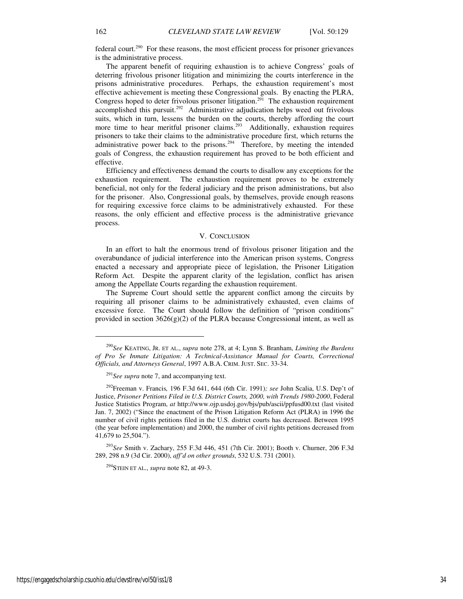federal court.<sup>290</sup> For these reasons, the most efficient process for prisoner grievances is the administrative process.

The apparent benefit of requiring exhaustion is to achieve Congress' goals of deterring frivolous prisoner litigation and minimizing the courts interference in the prisons administrative procedures. Perhaps, the exhaustion requirement's most effective achievement is meeting these Congressional goals. By enacting the PLRA, Congress hoped to deter frivolous prisoner litigation.<sup>291</sup> The exhaustion requirement accomplished this pursuit.<sup>292</sup> Administrative adjudication helps weed out frivolous suits, which in turn, lessens the burden on the courts, thereby affording the court more time to hear meritful prisoner claims.<sup>293</sup> Additionally, exhaustion requires prisoners to take their claims to the administrative procedure first, which returns the administrative power back to the prisons.<sup>294</sup> Therefore, by meeting the intended goals of Congress, the exhaustion requirement has proved to be both efficient and effective.

Efficiency and effectiveness demand the courts to disallow any exceptions for the exhaustion requirement. The exhaustion requirement proves to be extremely beneficial, not only for the federal judiciary and the prison administrations, but also for the prisoner. Also, Congressional goals, by themselves, provide enough reasons for requiring excessive force claims to be administratively exhausted. For these reasons, the only efficient and effective process is the administrative grievance process.

## V. CONCLUSION

In an effort to halt the enormous trend of frivolous prisoner litigation and the overabundance of judicial interference into the American prison systems, Congress enacted a necessary and appropriate piece of legislation, the Prisoner Litigation Reform Act. Despite the apparent clarity of the legislation, conflict has arisen among the Appellate Courts regarding the exhaustion requirement.

The Supreme Court should settle the apparent conflict among the circuits by requiring all prisoner claims to be administratively exhausted, even claims of excessive force. The Court should follow the definition of "prison conditions" provided in section  $3626(g)(2)$  of the PLRA because Congressional intent, as well as

j

<sup>290</sup>*See* KEATING, JR. ET AL., *supra* note 278, at 4; Lynn S. Branham, *Limiting the Burdens of Pro Se Inmate Litigation: A Technical-Assistance Manual for Courts, Correctional Officials, and Attorneys General*, 1997 A.B.A. CRIM. JUST. SEC. 33-34.

<sup>291</sup>*See supra* note 7, and accompanying text.

<sup>292</sup>Freeman v. Francis*,* 196 F.3d 641, 644 (6th Cir. 1991)*; see* John Scalia, U.S. Dep't of Justice, *Prisoner Petitions Filed in U.S. District Courts, 2000, with Trends 1980-2000*, Federal Justice Statistics Program, *at* http://www.ojp.usdoj.gov/bjs/pub/ascii/ppfusd00.txt (last visited Jan. 7, 2002) ("Since the enactment of the Prison Litigation Reform Act (PLRA) in 1996 the number of civil rights petitions filed in the U.S. district courts has decreased. Between 1995 (the year before implementation) and 2000, the number of civil rights petitions decreased from 41,679 to 25,504.").

<sup>293</sup>*See* Smith v. Zachary, 255 F.3d 446, 451 (7th Cir. 2001); Booth v. Churner, 206 F.3d 289, 298 n.9 (3d Cir. 2000), *aff'd on other grounds*, 532 U.S. 731 (2001).

<sup>294</sup>STEIN ET AL., *supra* note 82, at 49-3.